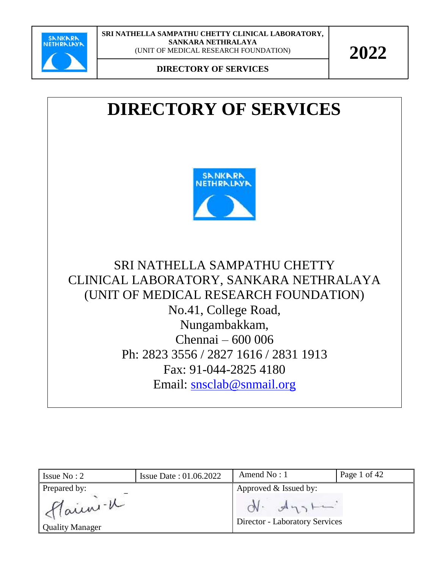

**DIRECTORY OF SERVICES**

## **DIRECTORY OF SERVICES**



SRI NATHELLA SAMPATHU CHETTY CLINICAL LABORATORY, SANKARA NETHRALAYA (UNIT OF MEDICAL RESEARCH FOUNDATION) No.41, College Road, Nungambakkam, Chennai – 600 006 Ph: 2823 3556 / 2827 1616 / 2831 1913 Fax: 91-044-2825 4180 Email: [snsclab@snmail.org](mailto:snsclab@snmail.org)

| Issue $No: 2$                     | <b>Issue Date: 01.06.2022</b> | Amend $No:1$                                            | Page 1 of 42 |
|-----------------------------------|-------------------------------|---------------------------------------------------------|--------------|
| Prepared by:                      |                               | Approved & Issued by:                                   |              |
| Main -u<br><b>Quality Manager</b> |                               | $ON.$ $A_{13}$<br><b>Director - Laboratory Services</b> |              |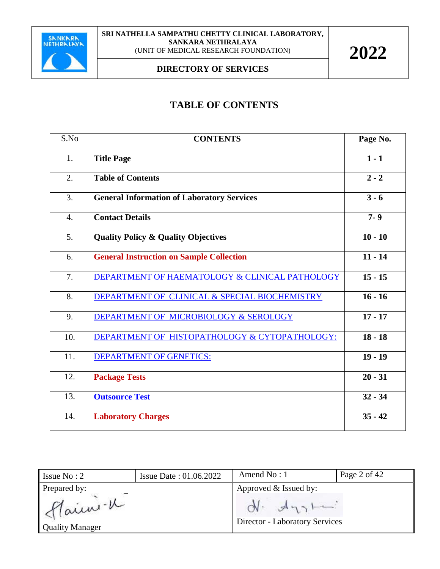

#### **DIRECTORY OF SERVICES**

### **TABLE OF CONTENTS**

| S.No | <b>CONTENTS</b>                                   | Page No.  |
|------|---------------------------------------------------|-----------|
| 1.   | <b>Title Page</b>                                 | $1 - 1$   |
| 2.   | <b>Table of Contents</b>                          | $2 - 2$   |
| 3.   | <b>General Information of Laboratory Services</b> | $3 - 6$   |
| 4.   | <b>Contact Details</b>                            | $7 - 9$   |
| 5.   | <b>Quality Policy &amp; Quality Objectives</b>    | $10 - 10$ |
| 6.   | <b>General Instruction on Sample Collection</b>   | $11 - 14$ |
| 7.   | DEPARTMENT OF HAEMATOLOGY & CLINICAL PATHOLOGY    | $15 - 15$ |
| 8.   | DEPARTMENT OF CLINICAL & SPECIAL BIOCHEMISTRY     | $16 - 16$ |
| 9.   | DEPARTMENT OF MICROBIOLOGY & SEROLOGY             | $17 - 17$ |
| 10.  | DEPARTMENT OF HISTOPATHOLOGY & CYTOPATHOLOGY:     | $18 - 18$ |
| 11.  | <b>DEPARTMENT OF GENETICS:</b>                    | $19 - 19$ |
| 12.  | <b>Package Tests</b>                              | $20 - 31$ |
| 13.  | <b>Outsource Test</b>                             | $32 - 34$ |
| 14.  | <b>Laboratory Charges</b>                         | $35 - 42$ |

| Issue $No: 2$                                     | <b>Issue Date: 01.06.2022</b> | Amend $No: 1$                                                                  | Page 2 of 42 |
|---------------------------------------------------|-------------------------------|--------------------------------------------------------------------------------|--------------|
| Prepared by:<br>Main -u<br><b>Quality Manager</b> |                               | Approved & Issued by:<br>$N - A_{13}$<br><b>Director - Laboratory Services</b> |              |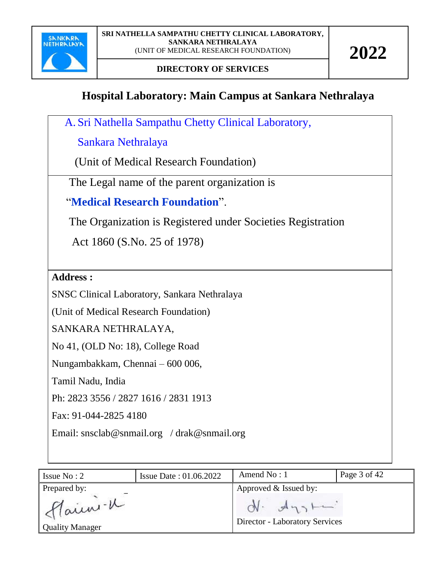

## **Hospital Laboratory: Main Campus at Sankara Nethralaya**

A. Sri Nathella Sampathu Chetty Clinical Laboratory,

Sankara Nethralaya

(Unit of Medical Research Foundation)

The Legal name of the parent organization is

"**Medical Research Foundation**".

The Organization is Registered under Societies Registration

Act 1860 (S.No. 25 of 1978)

**Address :**

SNSC Clinical Laboratory, Sankara Nethralaya

(Unit of Medical Research Foundation)

SANKARA NETHRALAYA,

No 41, (OLD No: 18), College Road

Nungambakkam, Chennai – 600 006,

Tamil Nadu, India

Ph: 2823 3556 / 2827 1616 / 2831 1913

Fax: 91-044-2825 4180

Email: [snsclab@snmail.org](mailto:snsclab@snmail.org) / drak@snmail.org

| Issue $No: 2$                      | Issue Date: 01.06.2022 | Amend No: 1                                            | Page 3 of 42 |
|------------------------------------|------------------------|--------------------------------------------------------|--------------|
| Prepared by:                       |                        | Approved & Issued by:                                  |              |
| flainn-K<br><b>Quality Manager</b> |                        | $N - d\eta_2$<br><b>Director - Laboratory Services</b> |              |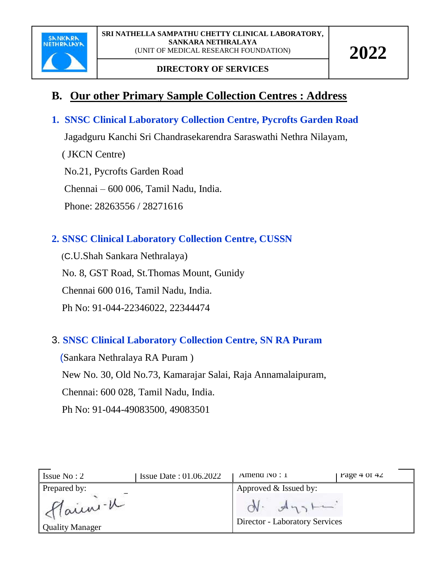

## **B. Our other Primary Sample Collection Centres : Address**

### **1. SNSC Clinical Laboratory Collection Centre, Pycrofts Garden Road**

Jagadguru Kanchi Sri Chandrasekarendra Saraswathi Nethra Nilayam,

( JKCN Centre)

No.21, Pycrofts Garden Road

Chennai – 600 006, Tamil Nadu, India.

Phone: 28263556 / 28271616

### **2. SNSC Clinical Laboratory Collection Centre, CUSSN**

 (C.U.Shah Sankara Nethralaya) No. 8, GST Road, St.Thomas Mount, Gunidy Chennai 600 016, Tamil Nadu, India. Ph No: 91-044-22346022, 22344474

### 3. **SNSC Clinical Laboratory Collection Centre, SN RA Puram**

 (Sankara Nethralaya RA Puram ) New No. 30, Old No.73, Kamarajar Salai, Raja Annamalaipuram, Chennai: 600 028, Tamil Nadu, India. Ph No: 91-044-49083500, 49083501

| Issue $No: 2$                     | <b>Issue Date: 01.06.2022</b> | Amend $NQ: I$                                 | rage $4$ or $42$ |
|-----------------------------------|-------------------------------|-----------------------------------------------|------------------|
| Prepared by:                      |                               | Approved & Issued by:                         |                  |
| Main -u<br><b>Quality Manager</b> |                               | 9951<br><b>Director - Laboratory Services</b> |                  |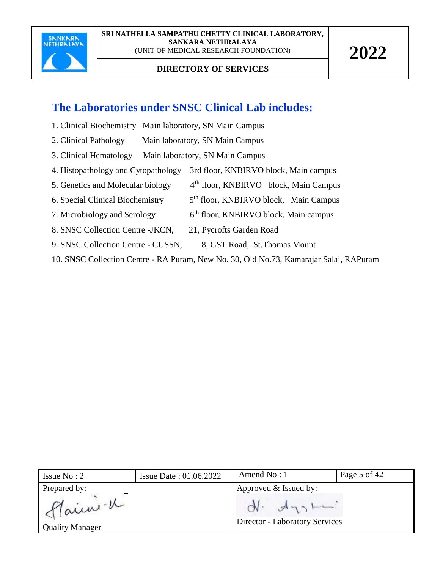

## **The Laboratories under SNSC Clinical Lab includes:**

- 1. Clinical Biochemistry Main laboratory, SN Main Campus
- 2. Clinical Pathology Main laboratory, SN Main Campus
- 3. Clinical Hematology Main laboratory, SN Main Campus
- 4. Histopathology and Cytopathology 3rd floor, KNBIRVO block, Main campus
- 5. Genetics and Molecular biology  $4<sup>th</sup>$  floor, KNBIRVO block, Main Campus
- 6. Special Clinical Biochemistry  $5<sup>th</sup>$  floor, KNBIRVO block, Main Campus
- 7. Microbiology and Serology 6<sup>th</sup> floor, KNBIRVO block, Main campus
- 8. SNSC Collection Centre -JKCN, 21, Pycrofts Garden Road
- 9. SNSC Collection Centre CUSSN, 8, GST Road, St. Thomas Mount
- 10. SNSC Collection Centre RA Puram, New No. 30, Old No.73, Kamarajar Salai, RAPuram

| Issue $No: 2$                    | <b>Issue Date: 01.06.2022</b> | Amend $No:1$                                   | Page 5 of 42 |
|----------------------------------|-------------------------------|------------------------------------------------|--------------|
| Prepared by:                     |                               | Approved & Issued by:                          |              |
| Aain-K<br><b>Quality Manager</b> |                               | $N - A_{12}$<br>Director - Laboratory Services |              |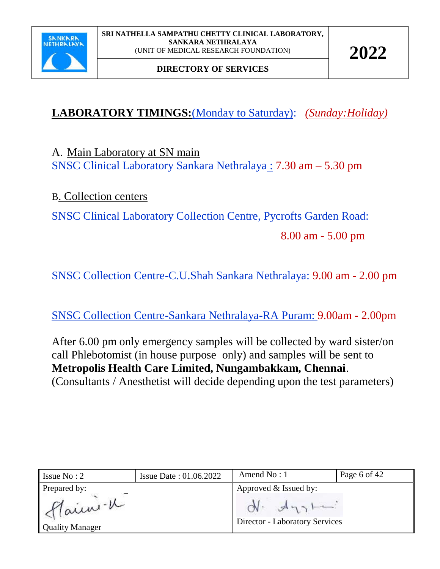

## **LABORATORY TIMINGS:**(Monday to Saturday): *(Sunday:Holiday)*

A. Main Laboratory at SN main SNSC Clinical Laboratory Sankara Nethralaya : 7.30 am – 5.30 pm

### B. Collection centers

SNSC Clinical Laboratory Collection Centre, Pycrofts Garden Road:

8.00 am - 5.00 pm

SNSC Collection Centre-C.U.Shah Sankara Nethralaya: 9.00 am - 2.00 pm

SNSC Collection Centre-Sankara Nethralaya-RA Puram: 9.00am - 2.00pm

After 6.00 pm only emergency samples will be collected by ward sister/on call Phlebotomist (in house purpose only) and samples will be sent to **Metropolis Health Care Limited, Nungambakkam, Chennai**. (Consultants / Anesthetist will decide depending upon the test parameters)

| Issue $No: 2$                     | Issue Date: 01.06.2022 | Amend $No:1$                                     | Page 6 of 42 |
|-----------------------------------|------------------------|--------------------------------------------------|--------------|
| Prepared by:                      |                        | Approved & Issued by:                            |              |
| Main -u<br><b>Quality Manager</b> |                        | $ON.$ $A_{13}$<br>Director - Laboratory Services |              |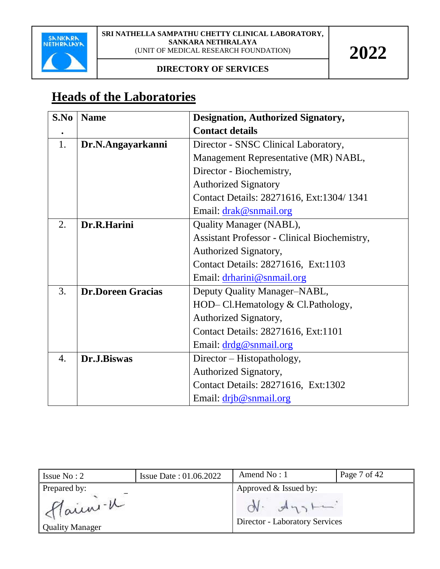

#### **DIRECTORY OF SERVICES**

## **Heads of the Laboratories**

| S.No             | <b>Name</b>              | <b>Designation, Authorized Signatory,</b>           |
|------------------|--------------------------|-----------------------------------------------------|
| $\bullet$        |                          | <b>Contact details</b>                              |
| 1.               | Dr.N.Angayarkanni        | Director - SNSC Clinical Laboratory,                |
|                  |                          | Management Representative (MR) NABL,                |
|                  |                          | Director - Biochemistry,                            |
|                  |                          | <b>Authorized Signatory</b>                         |
|                  |                          | Contact Details: 28271616, Ext:1304/1341            |
|                  |                          | Email: drak@snmail.org                              |
| 2.               | Dr.R.Harini              | Quality Manager (NABL),                             |
|                  |                          | <b>Assistant Professor - Clinical Biochemistry,</b> |
|                  |                          | Authorized Signatory,                               |
|                  |                          | Contact Details: 28271616, Ext:1103                 |
|                  |                          | Email: drharini@snmail.org                          |
| 3.               | <b>Dr.Doreen Gracias</b> | Deputy Quality Manager-NABL,                        |
|                  |                          | HOD– Cl. Hematology & Cl. Pathology,                |
|                  |                          | Authorized Signatory,                               |
|                  |                          | Contact Details: 28271616, Ext:1101                 |
|                  |                          | Email: drdg@snmail.org                              |
| $\overline{4}$ . | Dr.J.Biswas              | Director – Histopathology,                          |
|                  |                          | Authorized Signatory,                               |
|                  |                          | Contact Details: 28271616, Ext:1302                 |
|                  |                          | Email: drib@snmail.org                              |

| Issue $No: 2$                      | <b>Issue Date: 01.06.2022</b> | Amend $No:1$                                            | Page 7 of 42 |
|------------------------------------|-------------------------------|---------------------------------------------------------|--------------|
| Prepared by:                       |                               | Approved & Issued by:                                   |              |
| Flainn-K<br><b>Quality Manager</b> |                               | $ON.$ $A_{13}$<br><b>Director - Laboratory Services</b> |              |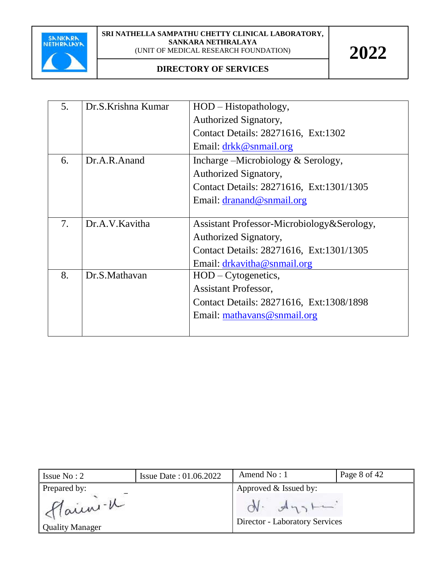

| 5. | Dr.S.Krishna Kumar | $HOD - Histopathology,$                    |
|----|--------------------|--------------------------------------------|
|    |                    | Authorized Signatory,                      |
|    |                    | Contact Details: 28271616, Ext:1302        |
|    |                    | Email: drkk@snmail.org                     |
| 6. | Dr.A.R.Anand       | Incharge – Microbiology & Serology,        |
|    |                    | Authorized Signatory,                      |
|    |                    | Contact Details: 28271616, Ext:1301/1305   |
|    |                    | Email: $d$ ranand@snmail.org               |
|    |                    |                                            |
| 7. | Dr.A.V.Kavitha     | Assistant Professor-Microbiology&Serology, |
|    |                    | Authorized Signatory,                      |
|    |                    | Contact Details: 28271616, Ext:1301/1305   |
|    |                    | Email: drkavitha@snmail.org                |
| 8. | Dr.S.Mathavan      | $HOD - Cytogenetics,$                      |
|    |                    | <b>Assistant Professor,</b>                |
|    |                    | Contact Details: 28271616, Ext:1308/1898   |
|    |                    | Email: mathavans@snmail.org                |
|    |                    |                                            |
|    |                    |                                            |

| Issue $No: 2$                     | <b>Issue Date: 01.06.2022</b> | Amend $No: 1$                                           | Page 8 of 42 |
|-----------------------------------|-------------------------------|---------------------------------------------------------|--------------|
| Prepared by:                      |                               | Approved & Issued by:                                   |              |
| Main -u<br><b>Quality Manager</b> |                               | $ON.$ $A_{13}$<br><b>Director - Laboratory Services</b> |              |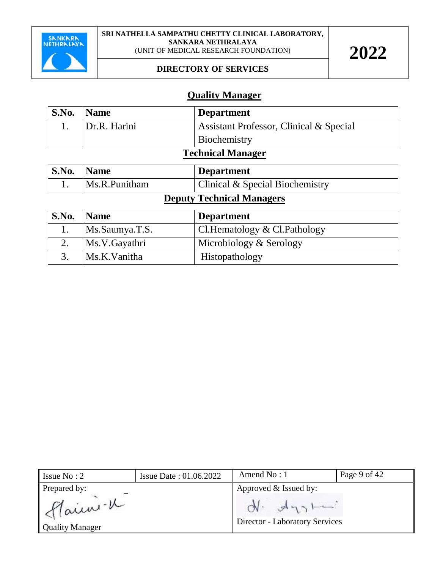

#### **DIRECTORY OF SERVICES**

#### **Quality Manager**

| S.No.                    | <b>Name</b>  | <b>Department</b>                                  |
|--------------------------|--------------|----------------------------------------------------|
|                          | Dr.R. Harini | <b>Assistant Professor, Clinical &amp; Special</b> |
|                          |              | Biochemistry                                       |
| <b>Technical Manager</b> |              |                                                    |

| S.No. | Name          | <b>Department</b>                          |
|-------|---------------|--------------------------------------------|
|       | Ms.R.Punitham | <b>Clinical &amp; Special Biochemistry</b> |

## **Deputy Technical Managers**

| S.No. | <b>Name</b>    | <b>Department</b>            |
|-------|----------------|------------------------------|
|       | Ms.Saumya.T.S. | Cl.Hematology & Cl.Pathology |
|       | Ms.V.Gayathri  | Microbiology & Serology      |
|       | Ms.K.Vanitha   | Histopathology               |

| Issue $No: 2$                      | <b>Issue Date: 01.06.2022</b> | Amend $No:1$                                          | Page 9 of 42 |
|------------------------------------|-------------------------------|-------------------------------------------------------|--------------|
| Prepared by:                       |                               | Approved & Issued by:                                 |              |
| Flain -K<br><b>Quality Manager</b> |                               | $N - A_{13}$<br><b>Director - Laboratory Services</b> |              |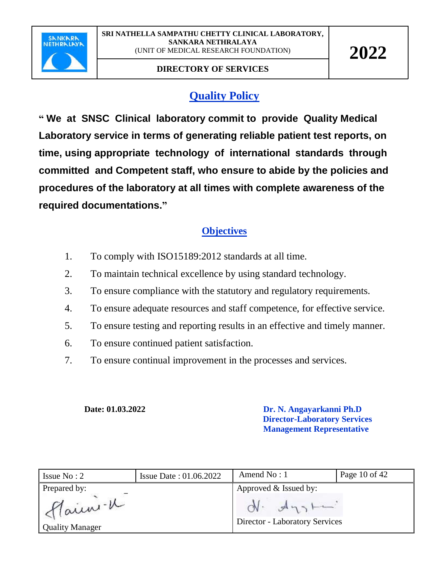

## **Quality Policy**

**" We at SNSC Clinical laboratory commit to provide Quality Medical Laboratory service in terms of generating reliable patient test reports, on time, using appropriate technology of international standards through committed and Competent staff, who ensure to abide by the policies and procedures of the laboratory at all times with complete awareness of the required documentations."** 

### **Objectives**

- 1. To comply with ISO15189:2012 standards at all time.
- 2. To maintain technical excellence by using standard technology.
- 3. To ensure compliance with the statutory and regulatory requirements.
- 4. To ensure adequate resources and staff competence, for effective service.
- 5. To ensure testing and reporting results in an effective and timely manner.
- 6. To ensure continued patient satisfaction.
- 7. To ensure continual improvement in the processes and services.

**Date: 01.03.2022 Dr. N. Angayarkanni Ph.D Director-Laboratory Services**  **Management Representative**

| Issue $No: 2$                      | <b>Issue Date: 01.06.2022</b> | Amend $No:1$                                            | Page 10 of 42 |
|------------------------------------|-------------------------------|---------------------------------------------------------|---------------|
| Prepared by:                       |                               | Approved & Issued by:                                   |               |
| Alain -V<br><b>Quality Manager</b> |                               | $ON.$ $A_{12}$<br><b>Director - Laboratory Services</b> |               |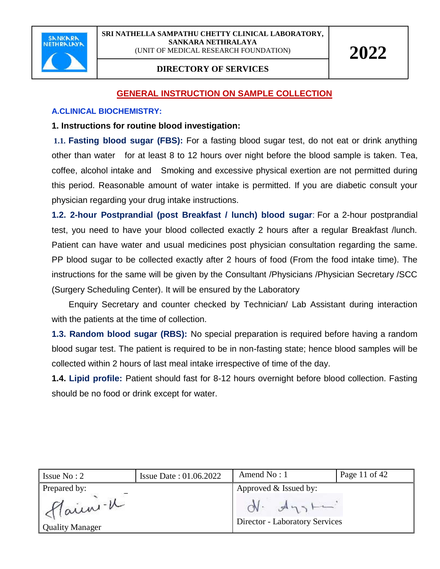

#### **DIRECTORY OF SERVICES**

#### **GENERAL INSTRUCTION ON SAMPLE COLLECTION**

#### **A.CLINICAL BIOCHEMISTRY:**

#### **1. Instructions for routine blood investigation:**

**1.1. Fasting blood sugar (FBS):** For a fasting blood sugar test, do not eat or drink anything other than water for at least 8 to 12 hours over night before the blood sample is taken. Tea, coffee, alcohol intake and Smoking and excessive physical exertion are not permitted during this period. Reasonable amount of water intake is permitted. If you are diabetic consult your physician regarding your drug intake instructions.

**1.2. 2-hour Postprandial (post Breakfast / lunch) blood sugar**: For a 2-hour postprandial test, you need to have your blood collected exactly 2 hours after a regular Breakfast /lunch. Patient can have water and usual medicines post physician consultation regarding the same. PP blood sugar to be collected exactly after 2 hours of food (From the food intake time). The instructions for the same will be given by the Consultant /Physicians /Physician Secretary /SCC (Surgery Scheduling Center). It will be ensured by the Laboratory

 Enquiry Secretary and counter checked by Technician/ Lab Assistant during interaction with the patients at the time of collection.

**1.3. Random blood sugar (RBS):** No special preparation is required before having a random blood sugar test. The patient is required to be in non-fasting state; hence blood samples will be collected within 2 hours of last meal intake irrespective of time of the day.

**1.4. Lipid profile:** Patient should fast for 8-12 hours overnight before blood collection. Fasting should be no food or drink except for water.

| Issue $No: 2$                                      | <b>Issue Date: 01.06.2022</b> | Amend $No:1$                                                                   | Page 11 of 42 |
|----------------------------------------------------|-------------------------------|--------------------------------------------------------------------------------|---------------|
| Prepared by:<br>Flain -K<br><b>Quality Manager</b> |                               | Approved & Issued by:<br>$N - A_{13}$<br><b>Director - Laboratory Services</b> |               |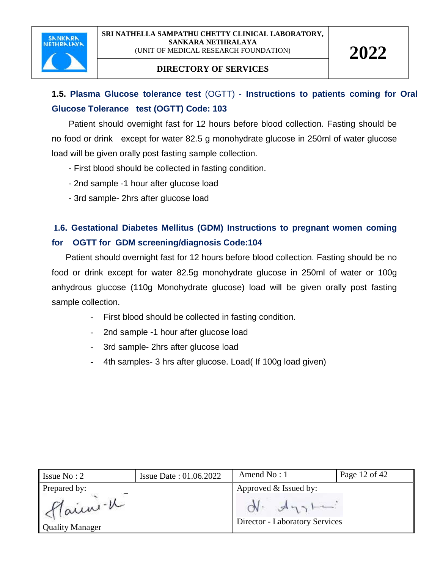

## **1.5. Plasma Glucose tolerance test** (OGTT) - **Instructions to patients coming for Oral Glucose Tolerance test (OGTT) Code: 103**

 Patient should overnight fast for 12 hours before blood collection. Fasting should be no food or drink except for water 82.5 g monohydrate glucose in 250ml of water glucose load will be given orally post fasting sample collection.

- First blood should be collected in fasting condition.
- 2nd sample -1 hour after glucose load
- 3rd sample- 2hrs after glucose load

## **1.6. Gestational Diabetes Mellitus (GDM) Instructions to pregnant women coming for OGTT for GDM screening/diagnosis Code:104**

 Patient should overnight fast for 12 hours before blood collection. Fasting should be no food or drink except for water 82.5g monohydrate glucose in 250ml of water or 100g anhydrous glucose (110g Monohydrate glucose) load will be given orally post fasting sample collection.

- First blood should be collected in fasting condition.
- 2nd sample -1 hour after glucose load
- 3rd sample- 2hrs after glucose load
- 4th samples- 3 hrs after glucose. Load( If 100g load given)

| Issue $No: 2$                     | <b>Issue Date: 01.06.2022</b> | Amend $No: 1$                                    | Page 12 of 42 |
|-----------------------------------|-------------------------------|--------------------------------------------------|---------------|
| Prepared by:                      |                               | Approved & Issued by:                            |               |
| Flaun-K<br><b>Quality Manager</b> |                               | $ON.$ $A_{13}$<br>Director - Laboratory Services |               |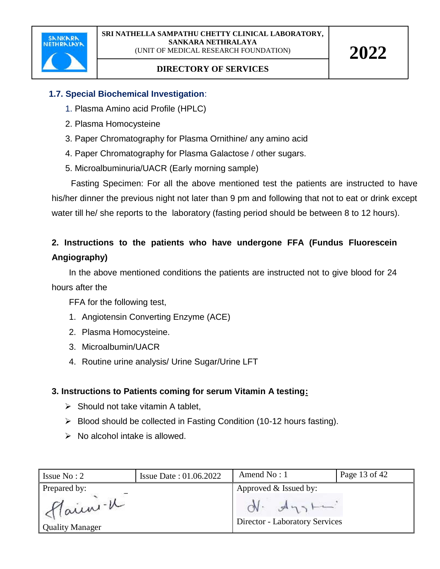

#### **1.7. Special Biochemical Investigation**:

- 1. Plasma Amino acid Profile (HPLC)
- 2. Plasma Homocysteine
- 3. Paper Chromatography for Plasma Ornithine/ any amino acid
- 4. Paper Chromatography for Plasma Galactose / other sugars.
- 5. Microalbuminuria/UACR (Early morning sample)

 Fasting Specimen: For all the above mentioned test the patients are instructed to have his/her dinner the previous night not later than 9 pm and following that not to eat or drink except water till he/ she reports to the laboratory (fasting period should be between 8 to 12 hours).

### **2. Instructions to the patients who have undergone FFA (Fundus Fluorescein Angiography)**

In the above mentioned conditions the patients are instructed not to give blood for 24 hours after the

FFA for the following test,

- 1. Angiotensin Converting Enzyme (ACE)
- 2. Plasma Homocysteine.
- 3. Microalbumin/UACR
- 4. Routine urine analysis/ Urine Sugar/Urine LFT

#### **3. Instructions to Patients coming for serum Vitamin A testing:**

- $\triangleright$  Should not take vitamin A tablet,
- $\triangleright$  Blood should be collected in Fasting Condition (10-12 hours fasting).
- $\triangleright$  No alcohol intake is allowed.

| Issue $No: 2$            | <b>Issue Date: 01.06.2022</b> | Amend $No:1$                          | Page 13 of 42 |
|--------------------------|-------------------------------|---------------------------------------|---------------|
| Prepared by:<br>flainn-u |                               | Approved & Issued by:<br>$N - A_{13}$ |               |
| <b>Quality Manager</b>   |                               | <b>Director - Laboratory Services</b> |               |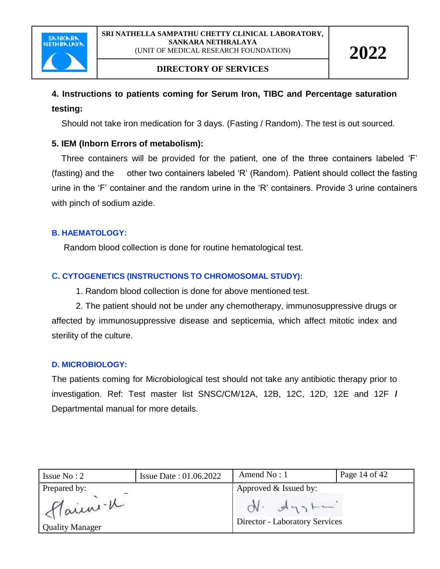

#### **DIRECTORY OF SERVICES**

### **4. Instructions to patients coming for Serum Iron, TIBC and Percentage saturation testing:**

Should not take iron medication for 3 days. (Fasting / Random). The test is out sourced.

#### **5. IEM (Inborn Errors of metabolism):**

 Three containers will be provided for the patient, one of the three containers labeled 'F' (fasting) and the other two containers labeled 'R' (Random). Patient should collect the fasting urine in the 'F' container and the random urine in the 'R' containers. Provide 3 urine containers with pinch of sodium azide.

#### **B. HAEMATOLOGY:**

Random blood collection is done for routine hematological test.

#### **C. CYTOGENETICS (INSTRUCTIONS TO CHROMOSOMAL STUDY):**

1. Random blood collection is done for above mentioned test.

 2. The patient should not be under any chemotherapy, immunosuppressive drugs or affected by immunosuppressive disease and septicemia, which affect mitotic index and sterility of the culture.

#### **D. MICROBIOLOGY:**

The patients coming for Microbiological test should not take any antibiotic therapy prior to investigation. Ref: Test master list SNSC/CM/12A, 12B, 12C, 12D, 12E and 12F **/** Departmental manual for more details.

| Issue $No: 2$                                     | <b>Issue Date: 01.06.2022</b> | Amend $No:1$                                                                     | Page 14 of 42 |
|---------------------------------------------------|-------------------------------|----------------------------------------------------------------------------------|---------------|
| Prepared by:<br>Main -u<br><b>Quality Manager</b> |                               | Approved & Issued by:<br>$ON.$ $A_{13}$<br><b>Director - Laboratory Services</b> |               |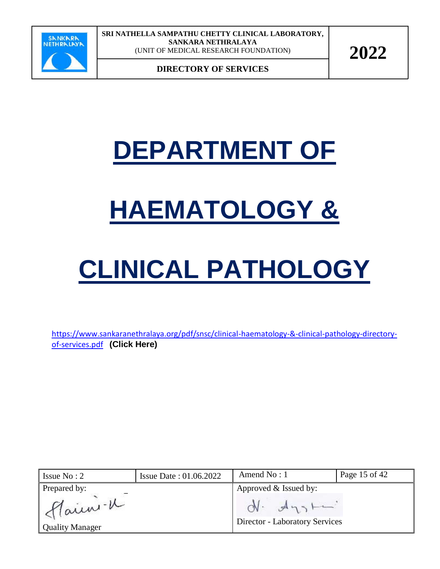

**DIRECTORY OF SERVICES**

## **DEPARTMENT OF**

## **HAEMATOLOGY &**

# **CLINICAL PATHOLOGY**

[https://www.sankaranethralaya.org/pdf/snsc/clinical-haematology-&-clinical-pathology-directory](https://www.sankaranethralaya.org/pdf/snsc/clinical-haematology-&-clinical-pathology-directory-of-services.pdf)[of-services.pdf](https://www.sankaranethralaya.org/pdf/snsc/clinical-haematology-&-clinical-pathology-directory-of-services.pdf) **(Click Here)**

| Issue $No: 2$                                     | Issue Date: 01.06.2022 | Amend $No: 1$                                                                  | Page 15 of 42 |
|---------------------------------------------------|------------------------|--------------------------------------------------------------------------------|---------------|
| Prepared by:<br>Main -K<br><b>Quality Manager</b> |                        | Approved & Issued by:<br>$N - A_{12}$<br><b>Director - Laboratory Services</b> |               |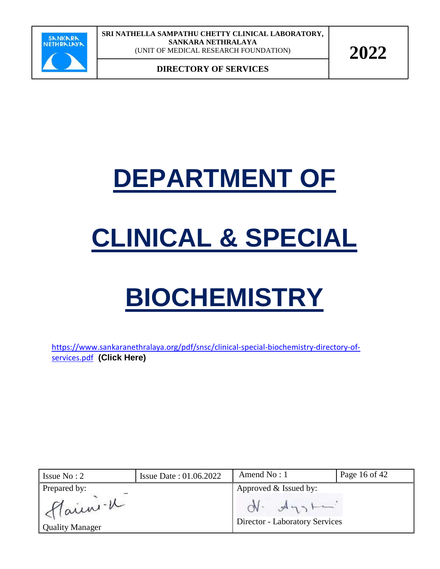

**DIRECTORY OF SERVICES**

## **DEPARTMENT OF**

# **CLINICAL & SPECIAL**

# **BIOCHEMISTRY**

[https://www.sankaranethralaya.org/pdf/snsc/clinical-special-biochemistry-directory-of](https://www.sankaranethralaya.org/pdf/snsc/clinical-special-biochemistry-directory-of-services.pdf)[services.pdf](https://www.sankaranethralaya.org/pdf/snsc/clinical-special-biochemistry-directory-of-services.pdf) **(Click Here)**

| Issue $No: 2$                                     | <b>Issue Date: 01.06.2022</b> | Amend No: 1                                                                       | Page 16 of 42 |
|---------------------------------------------------|-------------------------------|-----------------------------------------------------------------------------------|---------------|
| Prepared by:<br>Main -K<br><b>Quality Manager</b> |                               | Approved & Issued by:<br>$ON.$ $A_{1.2}$<br><b>Director - Laboratory Services</b> |               |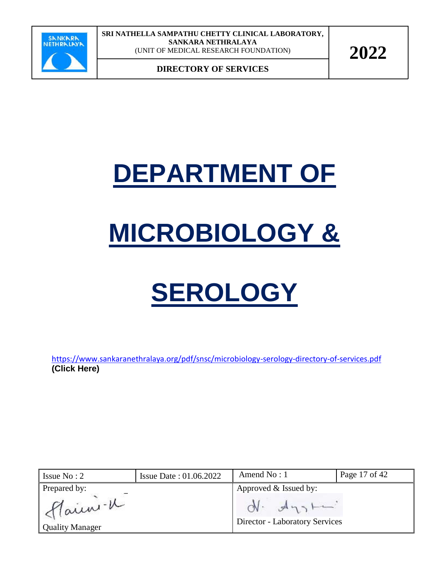

**DIRECTORY OF SERVICES**

## **DEPARTMENT OF**

## **MICROBIOLOGY &**

# **SEROLOGY**

<https://www.sankaranethralaya.org/pdf/snsc/microbiology-serology-directory-of-services.pdf> **(Click Here)**

| Issue $No: 2$          | <b>Issue Date: 01.06.2022</b> | Amend $No:1$                          | Page 17 of 42 |
|------------------------|-------------------------------|---------------------------------------|---------------|
| Prepared by:           |                               | Approved & Issued by:                 |               |
| Main -K                |                               | $N - A_{12}$                          |               |
| <b>Quality Manager</b> |                               | <b>Director - Laboratory Services</b> |               |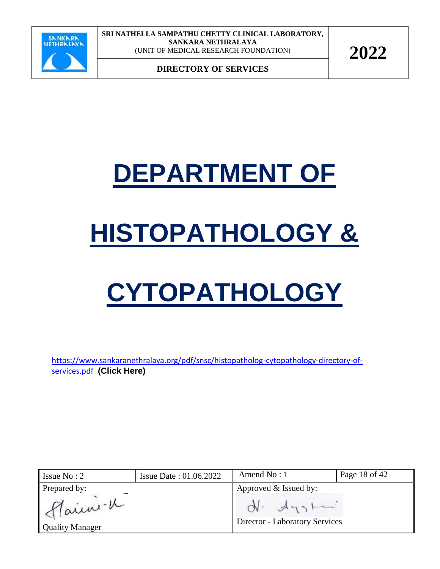

**DIRECTORY OF SERVICES**

## **DEPARTMENT OF**

# **HISTOPATHOLOGY &**

# **CYTOPATHOLOGY**

[https://www.sankaranethralaya.org/pdf/snsc/histopatholog-cytopathology-directory-of](https://www.sankaranethralaya.org/pdf/snsc/histopatholog-cytopathology-directory-of-services.pdf)[services.pdf](https://www.sankaranethralaya.org/pdf/snsc/histopatholog-cytopathology-directory-of-services.pdf) **(Click Here)**

| Issue $No: 2$                                     | <b>Issue Date: 01.06.2022</b> | Amend $No:1$                                                                      | Page 18 of 42 |
|---------------------------------------------------|-------------------------------|-----------------------------------------------------------------------------------|---------------|
| Prepared by:<br>Main -u<br><b>Quality Manager</b> |                               | Approved & Issued by:<br>$ON.$ $A_{1.3}$<br><b>Director - Laboratory Services</b> |               |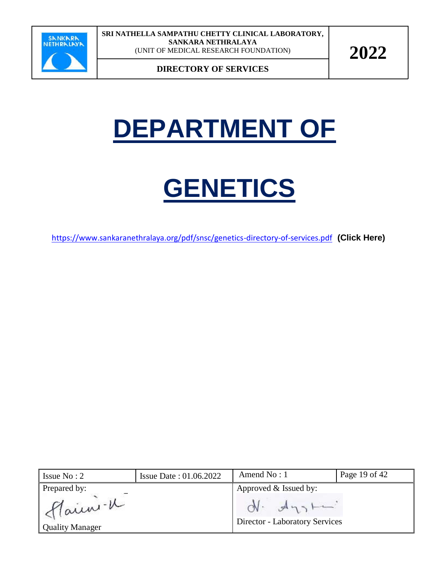

**DIRECTORY OF SERVICES**

## **DEPARTMENT OF**

## **GENETICS**

<https://www.sankaranethralaya.org/pdf/snsc/genetics-directory-of-services.pdf> **(Click Here)**

| Issue $No: 2$                                     | <b>Issue Date: 01.06.2022</b> | Amend $No:1$                          | Page 19 of 42 |
|---------------------------------------------------|-------------------------------|---------------------------------------|---------------|
| Prepared by:<br>Main -K<br><b>Quality Manager</b> |                               | Approved & Issued by:<br>$N - A_{13}$ |               |
|                                                   |                               | <b>Director - Laboratory Services</b> |               |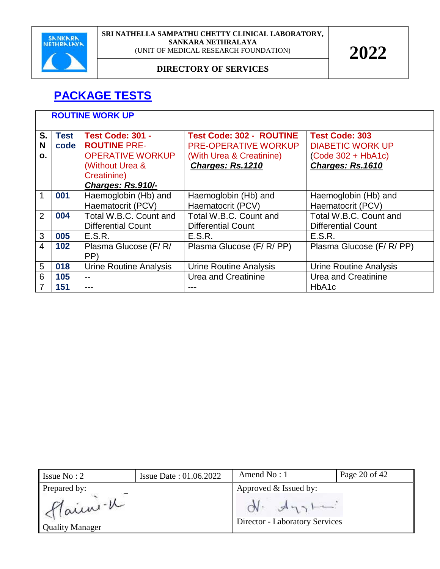

#### **DIRECTORY OF SERVICES**

## **PACKAGE TESTS**

|               | <b>ROUTINE WORK UP</b> |                                                                                                                                  |                                                                                                                |                                                                                              |  |
|---------------|------------------------|----------------------------------------------------------------------------------------------------------------------------------|----------------------------------------------------------------------------------------------------------------|----------------------------------------------------------------------------------------------|--|
| S.<br>N<br>O. | <b>Test</b><br>code    | <b>Test Code: 301 -</b><br><b>ROUTINE PRE-</b><br><b>OPERATIVE WORKUP</b><br>(Without Urea &<br>Creatinine)<br>Charges: Rs.910/- | <b>Test Code: 302 - ROUTINE</b><br><b>PRE-OPERATIVE WORKUP</b><br>(With Urea & Creatinine)<br>Charges: Rs.1210 | <b>Test Code: 303</b><br><b>DIABETIC WORK UP</b><br>$(Code 302 + HbA1c)$<br>Charges: Rs.1610 |  |
| 1             | 001                    | Haemoglobin (Hb) and<br>Haematocrit (PCV)                                                                                        | Haemoglobin (Hb) and<br>Haematocrit (PCV)                                                                      | Haemoglobin (Hb) and<br>Haematocrit (PCV)                                                    |  |
| 2             | 004                    | Total W.B.C. Count and<br><b>Differential Count</b>                                                                              | Total W.B.C. Count and<br><b>Differential Count</b>                                                            | Total W.B.C. Count and<br><b>Differential Count</b>                                          |  |
| 3             | 005                    | E.S.R.                                                                                                                           | E.S.R.                                                                                                         | E.S.R.                                                                                       |  |
| 4             | 102                    | Plasma Glucose (F/R/<br>PP)                                                                                                      | Plasma Glucose (F/R/PP)                                                                                        | Plasma Glucose (F/R/PP)                                                                      |  |
| 5             | 018                    | <b>Urine Routine Analysis</b>                                                                                                    | <b>Urine Routine Analysis</b>                                                                                  | Urine Routine Analysis                                                                       |  |
| 6             | 105                    |                                                                                                                                  | Urea and Creatinine                                                                                            | Urea and Creatinine                                                                          |  |
|               | 151                    | ---                                                                                                                              |                                                                                                                | HbA1c                                                                                        |  |

| Issue $No: 2$                      | <b>Issue Date: 01.06.2022</b> | Amend No: 1                                           | Page 20 of 42 |
|------------------------------------|-------------------------------|-------------------------------------------------------|---------------|
| Prepared by:                       |                               | Approved & Issued by:                                 |               |
| Flain -V<br><b>Quality Manager</b> |                               | $N - A_{12}$<br><b>Director - Laboratory Services</b> |               |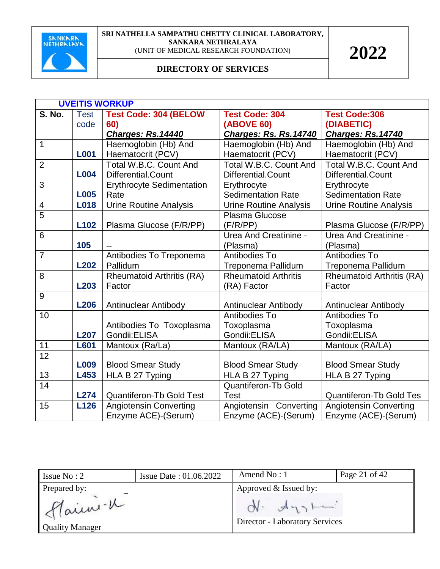

|                 | <b>UVEITIS WORKUP</b> |                                  |                               |                                  |  |
|-----------------|-----------------------|----------------------------------|-------------------------------|----------------------------------|--|
| <b>S. No.</b>   | <b>Test</b>           | <b>Test Code: 304 (BELOW</b>     | <b>Test Code: 304</b>         | <b>Test Code:306</b>             |  |
|                 | code                  | 60)                              | <b>(ABOVE 60)</b>             | (DIABETIC)                       |  |
|                 |                       | Charges: Rs.14440                | Charges: Rs. Rs. 14740        | <b>Charges: Rs.14740</b>         |  |
| $\mathbf{1}$    |                       | Haemoglobin (Hb) And             | Haemoglobin (Hb) And          | Haemoglobin (Hb) And             |  |
|                 | <b>L001</b>           | Haematocrit (PCV)                | Haematocrit (PCV)             | Haematocrit (PCV)                |  |
| $\overline{2}$  |                       | Total W.B.C. Count And           | Total W.B.C. Count And        | Total W.B.C. Count And           |  |
|                 | <b>L004</b>           | Differential.Count               | Differential.Count            | Differential.Count               |  |
| 3               |                       | <b>Erythrocyte Sedimentation</b> | Erythrocyte                   | Erythrocyte                      |  |
|                 | <b>L005</b>           | Rate                             | <b>Sedimentation Rate</b>     | <b>Sedimentation Rate</b>        |  |
| $\overline{4}$  | <b>L018</b>           | <b>Urine Routine Analysis</b>    | <b>Urine Routine Analysis</b> | Urine Routine Analysis           |  |
| $\overline{5}$  |                       |                                  | Plasma Glucose                |                                  |  |
|                 | L <sub>102</sub>      | Plasma Glucose (F/R/PP)          | (F/R/PP)                      | Plasma Glucose (F/R/PP)          |  |
| $6\phantom{1}6$ |                       |                                  | <b>Urea And Creatinine -</b>  | Urea And Creatinine -            |  |
|                 | 105                   |                                  | (Plasma)                      | (Plasma)                         |  |
| $\overline{7}$  |                       | Antibodies To Treponema          | Antibodies To                 | Antibodies To                    |  |
|                 | <b>L202</b>           | Pallidum                         | Treponema Pallidum            | Treponema Pallidum               |  |
| 8               |                       | <b>Rheumatoid Arthritis (RA)</b> | <b>Rheumatoid Arthritis</b>   | <b>Rheumatoid Arthritis (RA)</b> |  |
|                 | L203                  | Factor                           | (RA) Factor                   | Factor                           |  |
| 9               |                       |                                  |                               |                                  |  |
|                 | <b>L206</b>           | Antinuclear Antibody             | <b>Antinuclear Antibody</b>   | <b>Antinuclear Antibody</b>      |  |
| 10              |                       |                                  | Antibodies To                 | Antibodies To                    |  |
|                 |                       | Antibodies To Toxoplasma         | Toxoplasma                    | Toxoplasma                       |  |
|                 | <b>L207</b>           | Gondii: ELISA                    | Gondii: ELISA                 | Gondii: ELISA                    |  |
| 11              | <b>L601</b>           | Mantoux (Ra/La)                  | Mantoux (RA/LA)               | Mantoux (RA/LA)                  |  |
| 12              |                       |                                  |                               |                                  |  |
|                 | L009                  | <b>Blood Smear Study</b>         | <b>Blood Smear Study</b>      | <b>Blood Smear Study</b>         |  |
| 13              | L453                  | HLA B 27 Typing                  | HLA B 27 Typing               | HLA B 27 Typing                  |  |
| 14              |                       |                                  | <b>Quantiferon-Tb Gold</b>    |                                  |  |
|                 | <b>L274</b>           | <b>Quantiferon-Tb Gold Test</b>  | Test                          | <b>Quantiferon-Tb Gold Tes</b>   |  |
| 15              | L126                  | <b>Angiotensin Converting</b>    | Angiotensin Converting        | <b>Angiotensin Converting</b>    |  |
|                 |                       | Enzyme ACE)-(Serum)              | Enzyme (ACE)-(Serum)          | Enzyme (ACE)-(Serum)             |  |

| Issue $No: 2$                     | <b>Issue Date: 01.06.2022</b> | Amend $No: 1$                                                | Page 21 of 42 |
|-----------------------------------|-------------------------------|--------------------------------------------------------------|---------------|
| Prepared by:                      |                               | Approved & Issued by:                                        |               |
| Main -K<br><b>Quality Manager</b> |                               | $\n  A$<br>$\gamma$<br><b>Director - Laboratory Services</b> |               |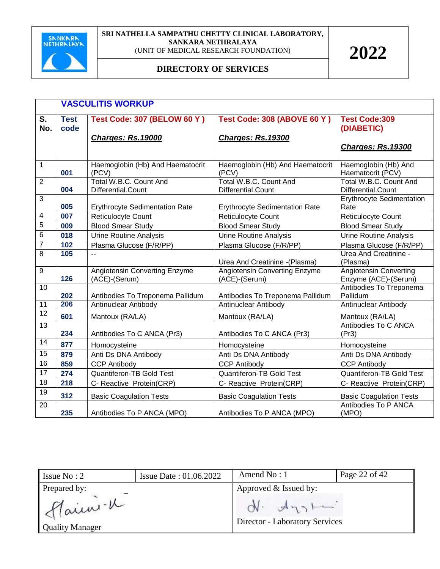

|                                  | <b>VASCULITIS WORKUP</b>                                                              |                                                |                                                                 |                                                       |
|----------------------------------|---------------------------------------------------------------------------------------|------------------------------------------------|-----------------------------------------------------------------|-------------------------------------------------------|
| $\overline{\mathsf{s}}$ .<br>No. | <b>Test Code: 307 (BELOW 60 Y)</b><br><b>Test</b><br>code<br><b>Charges: Rs.19000</b> |                                                | <b>Test Code: 308 (ABOVE 60 Y)</b><br><b>Charges: Rs. 19300</b> | <b>Test Code:309</b><br>(DIABETIC)                    |
|                                  |                                                                                       |                                                |                                                                 | <b>Charges: Rs.19300</b>                              |
| 1                                | 001                                                                                   | Haemoglobin (Hb) And Haematocrit<br>(PCV)      | Haemoglobin (Hb) And Haematocrit<br>(PCV)                       | Haemoglobin (Hb) And<br>Haematocrit (PCV)             |
| $\overline{2}$                   | 004                                                                                   | Total W.B.C. Count And<br>Differential.Count   | Total W.B.C. Count And<br>Differential.Count                    | Total W.B.C. Count And<br>Differential.Count          |
| 3                                | 005                                                                                   | <b>Erythrocyte Sedimentation Rate</b>          | <b>Erythrocyte Sedimentation Rate</b>                           | Erythrocyte Sedimentation<br>Rate                     |
| 4                                | 007                                                                                   | Reticulocyte Count                             | Reticulocyte Count                                              | Reticulocyte Count                                    |
| 5                                | 009                                                                                   | <b>Blood Smear Study</b>                       | <b>Blood Smear Study</b>                                        | <b>Blood Smear Study</b>                              |
| 6                                | 018                                                                                   | <b>Urine Routine Analysis</b>                  | <b>Urine Routine Analysis</b>                                   | <b>Urine Routine Analysis</b>                         |
| $\overline{7}$                   | 102                                                                                   | Plasma Glucose (F/R/PP)                        | Plasma Glucose (F/R/PP)                                         | Plasma Glucose (F/R/PP)                               |
| 8                                | 105                                                                                   |                                                | Urea And Creatinine - (Plasma)                                  | Urea And Creatinine -<br>(Plasma)                     |
| 9                                | 126                                                                                   | Angiotensin Converting Enzyme<br>(ACE)-(Serum) | <b>Angiotensin Converting Enzyme</b><br>(ACE)-(Serum)           | <b>Angiotensin Converting</b><br>Enzyme (ACE)-(Serum) |
| 10                               | 202                                                                                   | Antibodies To Treponema Pallidum               | Antibodies To Treponema Pallidum                                | Antibodies To Treponema<br>Pallidum                   |
| 11                               | 206                                                                                   | Antinuclear Antibody                           | Antinuclear Antibody                                            | Antinuclear Antibody                                  |
| $\overline{12}$                  | 601                                                                                   | Mantoux (RA/LA)                                | Mantoux (RA/LA)                                                 | Mantoux (RA/LA)                                       |
| $\overline{13}$                  | 234                                                                                   | Antibodies To C ANCA (Pr3)                     | Antibodies To C ANCA (Pr3)                                      | Antibodies To C ANCA<br>(Pr3)                         |
| 14                               | 877                                                                                   | Homocysteine                                   | Homocysteine                                                    | Homocysteine                                          |
| 15                               | 879                                                                                   | Anti Ds DNA Antibody                           | Anti Ds DNA Antibody                                            | Anti Ds DNA Antibody                                  |
| 16                               | 859                                                                                   | <b>CCP Antibody</b>                            | <b>CCP Antibody</b>                                             | <b>CCP Antibody</b>                                   |
| $\overline{17}$                  | 274                                                                                   | Quantiferon-TB Gold Test                       | <b>Quantiferon-TB Gold Test</b>                                 | <b>Quantiferon-TB Gold Test</b>                       |
| $\overline{18}$                  | 218                                                                                   | C- Reactive Protein(CRP)                       | C- Reactive Protein(CRP)                                        | C- Reactive Protein(CRP)                              |
| 19                               | 312                                                                                   | <b>Basic Coagulation Tests</b>                 | <b>Basic Coagulation Tests</b>                                  | <b>Basic Coagulation Tests</b>                        |
| 20                               | 235                                                                                   | Antibodies To P ANCA (MPO)                     | Antibodies To P ANCA (MPO)                                      | Antibodies To P ANCA<br>(MPO)                         |

| Issue $No: 2$                     | <b>Issue Date: 01.06.2022</b> | Amend $No:1$                                       | Page 22 of 42 |
|-----------------------------------|-------------------------------|----------------------------------------------------|---------------|
| Prepared by:                      |                               | Approved & Issued by:                              |               |
| Main -K<br><b>Quality Manager</b> |                               | $A_{1,1}$<br><b>Director - Laboratory Services</b> |               |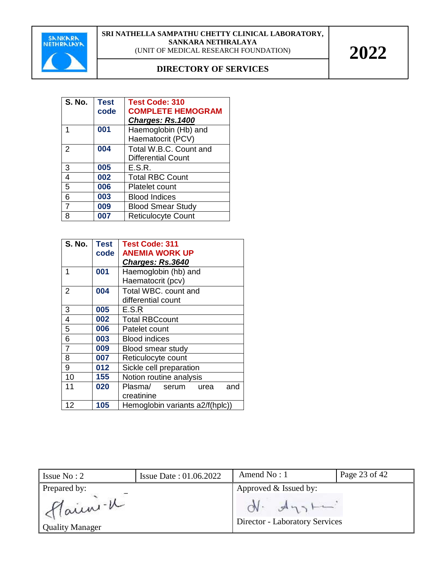

| <b>S. No.</b>  | <b>Test</b><br>code | <b>Test Code: 310</b><br><b>COMPLETE HEMOGRAM</b><br>Charges: Rs.1400 |
|----------------|---------------------|-----------------------------------------------------------------------|
|                | 001                 | Haemoglobin (Hb) and<br>Haematocrit (PCV)                             |
| 2              | 004                 | Total W.B.C. Count and<br><b>Differential Count</b>                   |
| 3              | 005                 | E.S.R.                                                                |
| $\overline{4}$ | 002                 | <b>Total RBC Count</b>                                                |
| 5              | 006                 | <b>Platelet count</b>                                                 |
| 6              | 003                 | <b>Blood Indices</b>                                                  |
| $\overline{7}$ | 009                 | <b>Blood Smear Study</b>                                              |
| 8              | 007                 | <b>Reticulocyte Count</b>                                             |

| <b>S. No.</b>  | <b>Test</b> | <b>Test Code: 311</b>           |  |
|----------------|-------------|---------------------------------|--|
|                | code        | <b>ANEMIA WORK UP</b>           |  |
|                |             | Charges: Rs.3640                |  |
| 1              | 001         | Haemoglobin (hb) and            |  |
|                |             | Haematocrit (pcv)               |  |
| 2              | 004         | Total WBC. count and            |  |
|                |             | differential count              |  |
| 3              | 005         | E.S.R                           |  |
| 4              | 002         | <b>Total RBCcount</b>           |  |
| 5              | 006         | Patelet count                   |  |
| 6              | 003         | <b>Blood indices</b>            |  |
| $\overline{7}$ | 009         | <b>Blood smear study</b>        |  |
| 8              | 007         | Reticulocyte count              |  |
| 9              | 012         | Sickle cell preparation         |  |
| 10             | 155         | Notion routine analysis         |  |
| 11             | 020         | Plasma/ serum<br>and<br>urea    |  |
|                |             | creatinine                      |  |
| 12             | 105         | Hemoglobin variants a2/f(hplc)) |  |

| Issue $No: 2$                                     | <b>Issue Date: 01.06.2022</b> | Amend $No:1$                                                              | Page 23 of 42 |
|---------------------------------------------------|-------------------------------|---------------------------------------------------------------------------|---------------|
| Prepared by:<br>Main -1<br><b>Quality Manager</b> |                               | Approved & Issued by:<br>$ON.$ $A_{13}$<br>Director - Laboratory Services |               |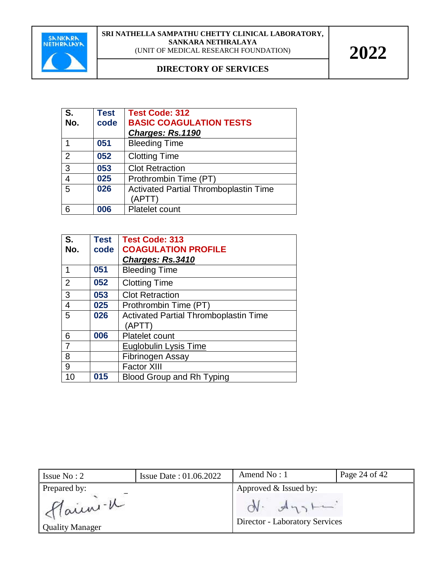

| S.<br>No.      | <b>Test</b><br>code | <b>Test Code: 312</b><br><b>BASIC COAGULATION TESTS</b><br>Charges: Rs.1190 |
|----------------|---------------------|-----------------------------------------------------------------------------|
|                | 051                 | <b>Bleeding Time</b>                                                        |
| 2              | 052                 | <b>Clotting Time</b>                                                        |
| 3              | 053                 | <b>Clot Retraction</b>                                                      |
| $\overline{4}$ | 025                 | Prothrombin Time (PT)                                                       |
| 5              | 026                 | <b>Activated Partial Thromboplastin Time</b><br>(APTT)                      |
| 6              | 006                 | <b>Platelet count</b>                                                       |

| S.             | <b>Test</b> | <b>Test Code: 313</b>                        |
|----------------|-------------|----------------------------------------------|
| No.            | code        | <b>COAGULATION PROFILE</b>                   |
|                |             | Charges: Rs.3410                             |
| 1              | 051         | <b>Bleeding Time</b>                         |
| 2              | 052         | <b>Clotting Time</b>                         |
| 3              | 053         | <b>Clot Retraction</b>                       |
| $\overline{4}$ | 025         | Prothrombin Time (PT)                        |
| 5              | 026         | <b>Activated Partial Thromboplastin Time</b> |
|                |             | (APTT)                                       |
| 6              | 006         | <b>Platelet count</b>                        |
|                |             | <b>Euglobulin Lysis Time</b>                 |
| 8              |             | Fibrinogen Assay                             |
| 9              |             | <b>Factor XIII</b>                           |
| 10             | 015         | <b>Blood Group and Rh Typing</b>             |

| Issue $No: 2$                                     | <b>Issue Date: 01.06.2022</b> | Amend $No: 1$                                                                  | Page 24 of 42 |
|---------------------------------------------------|-------------------------------|--------------------------------------------------------------------------------|---------------|
| Prepared by:<br>Main -u<br><b>Quality Manager</b> |                               | Approved & Issued by:<br>$N - A_{13}$<br><b>Director - Laboratory Services</b> |               |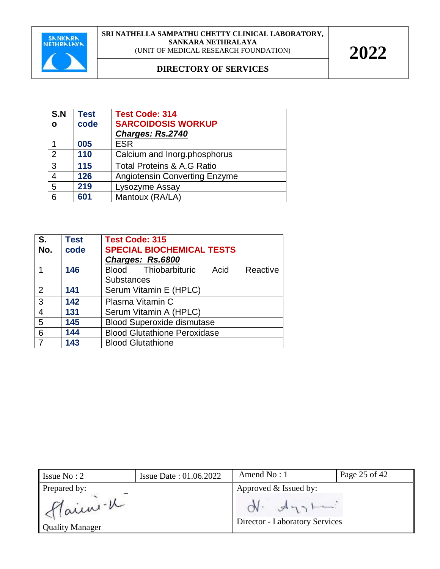

| S.N<br>O | <b>Test</b><br>code | <b>Test Code: 314</b><br><b>SARCOIDOSIS WORKUP</b><br>Charges: Rs.2740 |
|----------|---------------------|------------------------------------------------------------------------|
|          | 005                 | <b>ESR</b>                                                             |
| 2        | 110                 | Calcium and Inorg.phosphorus                                           |
| 3        | 115                 | <b>Total Proteins &amp; A.G Ratio</b>                                  |
| 4        | 126                 | <b>Angiotensin Converting Enzyme</b>                                   |
| 5        | 219                 | Lysozyme Assay                                                         |
| 6        | 601                 | Mantoux (RA/LA)                                                        |

| S.<br>No.      | <b>Test</b><br>code | <b>Test Code: 315</b><br><b>SPECIAL BIOCHEMICAL TESTS</b><br>Charges: Rs.6800 |  |  |
|----------------|---------------------|-------------------------------------------------------------------------------|--|--|
|                | 146                 | Blood Thiobarbituric<br>Acid<br>Reactive<br><b>Substances</b>                 |  |  |
| 2              | 141                 | Serum Vitamin E (HPLC)                                                        |  |  |
| 3              | 142                 | Plasma Vitamin C                                                              |  |  |
| $\overline{4}$ | 131                 | Serum Vitamin A (HPLC)                                                        |  |  |
| 5              | 145                 | <b>Blood Superoxide dismutase</b>                                             |  |  |
| 6              | 144                 | <b>Blood Glutathione Peroxidase</b>                                           |  |  |
|                | 143                 | <b>Blood Glutathione</b>                                                      |  |  |

| Issue $No: 2$                                      | <b>Issue Date: 01.06.2022</b> | Amend $No:1$                                                                   | Page 25 of 42 |
|----------------------------------------------------|-------------------------------|--------------------------------------------------------------------------------|---------------|
| Prepared by:<br>Flain -K<br><b>Quality Manager</b> |                               | Approved & Issued by:<br>$N - A_{13}$<br><b>Director - Laboratory Services</b> |               |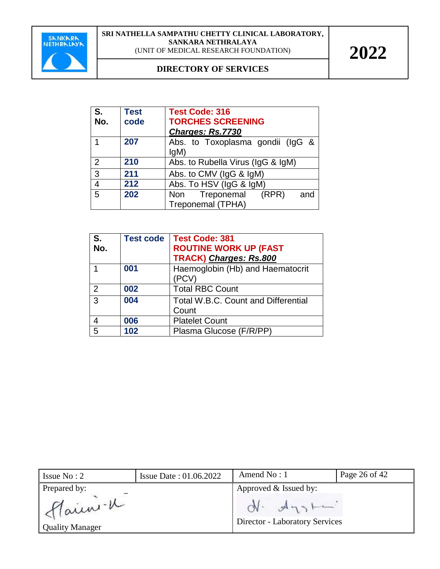

| S.             | <b>Test</b> | <b>Test Code: 316</b>                               |  |  |
|----------------|-------------|-----------------------------------------------------|--|--|
| No.            | code        | <b>TORCHES SCREENING</b>                            |  |  |
|                |             | Charges: Rs.7730                                    |  |  |
|                | 207         | Abs. to Toxoplasma gondii (IgG &<br>IqM             |  |  |
| 2              | 210         | Abs. to Rubella Virus (IgG & IgM)                   |  |  |
| 3              | 211         | Abs. to CMV (IgG & IgM)                             |  |  |
| $\overline{4}$ | 212         | Abs. To HSV (IgG & IgM)                             |  |  |
| 5              | 202         | Non Treponemal<br>(RPR)<br>and<br>Treponemal (TPHA) |  |  |

| <b>S.</b><br>No. | <b>Test code</b> | <b>Test Code: 381</b><br><b>ROUTINE WORK UP (FAST</b><br>TRACK) Charges: Rs.800 |
|------------------|------------------|---------------------------------------------------------------------------------|
|                  | 001              | Haemoglobin (Hb) and Haematocrit<br>(PCV)                                       |
| 2                | 002              | <b>Total RBC Count</b>                                                          |
| 3                | 004              | <b>Total W.B.C. Count and Differential</b><br>Count                             |
|                  | 006              | <b>Platelet Count</b>                                                           |
| 5                | 102              | Plasma Glucose (F/R/PP)                                                         |

| Issue $No: 2$                                     | <b>Issue Date: 01.06.2022</b> | Amend $No: 1$                                                                  | Page 26 of 42 |
|---------------------------------------------------|-------------------------------|--------------------------------------------------------------------------------|---------------|
| Prepared by:<br>Haien-K<br><b>Quality Manager</b> |                               | Approved & Issued by:<br>$N - A_{13}$<br><b>Director - Laboratory Services</b> |               |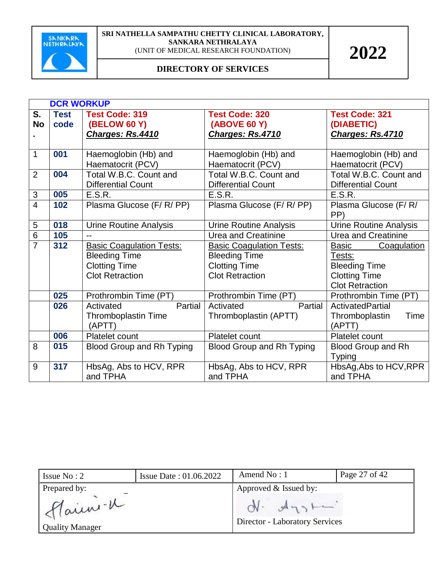

|                | <b>DCR WORKUP</b> |                                 |                                  |                               |  |  |
|----------------|-------------------|---------------------------------|----------------------------------|-------------------------------|--|--|
| S.             | <b>Test</b>       | <b>Test Code: 319</b>           | <b>Test Code: 320</b>            | <b>Test Code: 321</b>         |  |  |
| <b>No</b>      | code              | <b>(BELOW 60 Y)</b>             | <b>(ABOVE 60 Y)</b>              | (DIABETIC)                    |  |  |
|                |                   | Charges: Rs.4410                | Charges: Rs.4710                 | Charges: Rs.4710              |  |  |
|                |                   |                                 |                                  |                               |  |  |
| $\mathbf{1}$   | 001               | Haemoglobin (Hb) and            | Haemoglobin (Hb) and             | Haemoglobin (Hb) and          |  |  |
|                |                   | Haematocrit (PCV)               | Haematocrit (PCV)                | Haematocrit (PCV)             |  |  |
| $\overline{2}$ | 004               | Total W.B.C. Count and          | Total W.B.C. Count and           | Total W.B.C. Count and        |  |  |
|                |                   | <b>Differential Count</b>       | <b>Differential Count</b>        | <b>Differential Count</b>     |  |  |
| 3              | 005               | E.S.R.                          | E.S.R.                           | E.S.R.                        |  |  |
| $\overline{4}$ | 102               | Plasma Glucose (F/R/PP)         | Plasma Glucose (F/ R/ PP)        | Plasma Glucose (F/R/          |  |  |
|                |                   |                                 |                                  | PP)                           |  |  |
| 5              | 018               | <b>Urine Routine Analysis</b>   | <b>Urine Routine Analysis</b>    | <b>Urine Routine Analysis</b> |  |  |
| $\overline{6}$ | 105               | $-$                             | <b>Urea and Creatinine</b>       | <b>Urea and Creatinine</b>    |  |  |
| $\overline{7}$ | 312               | <b>Basic Coagulation Tests:</b> | <b>Basic Coagulation Tests:</b>  | Basic<br><b>Coagulation</b>   |  |  |
|                |                   | <b>Bleeding Time</b>            | <b>Bleeding Time</b>             | Tests:                        |  |  |
|                |                   | <b>Clotting Time</b>            | <b>Clotting Time</b>             | <b>Bleeding Time</b>          |  |  |
|                |                   | <b>Clot Retraction</b>          | <b>Clot Retraction</b>           | <b>Clotting Time</b>          |  |  |
|                |                   |                                 |                                  | <b>Clot Retraction</b>        |  |  |
|                | 025               | Prothrombin Time (PT)           | Prothrombin Time (PT)            | Prothrombin Time (PT)         |  |  |
|                | 026               | Partial<br>Activated            | Activated<br>Partial             | ActivatedPartial              |  |  |
|                |                   | <b>Thromboplastin Time</b>      | Thromboplastin (APTT)            | Time<br>Thromboplastin        |  |  |
|                |                   | (APTT)                          |                                  | (APTT)                        |  |  |
|                | 006               | Platelet count                  | Platelet count                   | Platelet count                |  |  |
| 8              | 015               | Blood Group and Rh Typing       | <b>Blood Group and Rh Typing</b> | <b>Blood Group and Rh</b>     |  |  |
|                |                   |                                 |                                  | <b>Typing</b>                 |  |  |
| 9              | 317               | HbsAg, Abs to HCV, RPR          | HbsAg, Abs to HCV, RPR           | HbsAg, Abs to HCV, RPR        |  |  |
|                |                   | and TPHA                        | and TPHA                         | and TPHA                      |  |  |

| Issue $No: 2$            | Issue Date: 01.06.2022 | Amend $No:1$                          | Page 27 of 42 |
|--------------------------|------------------------|---------------------------------------|---------------|
| Prepared by:<br>Flain -1 |                        | Approved & Issued by:<br>$N - A_{12}$ |               |
| <b>Quality Manager</b>   |                        | <b>Director - Laboratory Services</b> |               |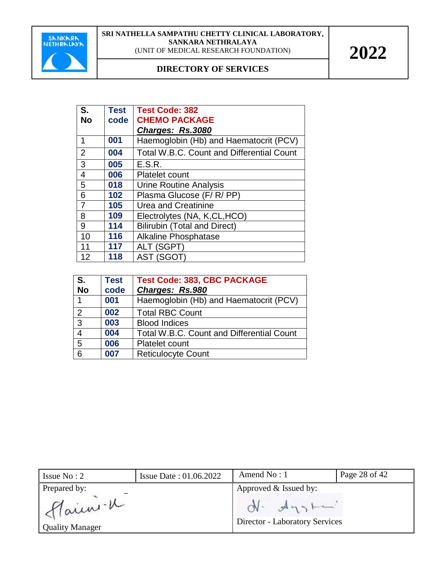

| S.             | Test | <b>Test Code: 382</b>                            |  |  |
|----------------|------|--------------------------------------------------|--|--|
| <b>No</b>      | code | <b>CHEMO PACKAGE</b>                             |  |  |
|                |      | Charges: Rs.3080                                 |  |  |
| 1              | 001  | Haemoglobin (Hb) and Haematocrit (PCV)           |  |  |
| $\overline{2}$ | 004  | <b>Total W.B.C. Count and Differential Count</b> |  |  |
| 3              | 005  | E.S.R.                                           |  |  |
| $\overline{4}$ | 006  | <b>Platelet count</b>                            |  |  |
| 5              | 018  | Urine Routine Analysis                           |  |  |
| 6              | 102  | Plasma Glucose (F/R/PP)                          |  |  |
| $\overline{7}$ | 105  | Urea and Creatinine                              |  |  |
| 8              | 109  | Electrolytes (NA, K,CL,HCO)                      |  |  |
| 9              | 114  | <b>Bilirubin (Total and Direct)</b>              |  |  |
| 10             | 116  | <b>Alkaline Phosphatase</b>                      |  |  |
| 11             | 117  | ALT (SGPT)                                       |  |  |
| 12             | 118  | AST (SGOT)                                       |  |  |

| S <sub>1</sub><br><b>No</b> | <b>Test</b><br>code | <b>Test Code: 383, CBC PACKAGE</b><br>Charges: Rs.980 |
|-----------------------------|---------------------|-------------------------------------------------------|
| 1                           | 001                 | Haemoglobin (Hb) and Haematocrit (PCV)                |
| 2                           | 002                 | <b>Total RBC Count</b>                                |
| $\mathbf{3}$                | 003                 | <b>Blood Indices</b>                                  |
| $\overline{4}$              | 004                 | <b>Total W.B.C. Count and Differential Count</b>      |
| 5                           | 006                 | Platelet count                                        |
| 6                           | 007                 | <b>Reticulocyte Count</b>                             |

| Issue $No: 2$           | <b>Issue Date: 01.06.2022</b> | Amend $No: 1$                         | Page 28 of 42 |
|-------------------------|-------------------------------|---------------------------------------|---------------|
| Prepared by:<br>Haien-K |                               | Approved & Issued by:<br>$N - A_{12}$ |               |
| <b>Quality Manager</b>  |                               | <b>Director - Laboratory Services</b> |               |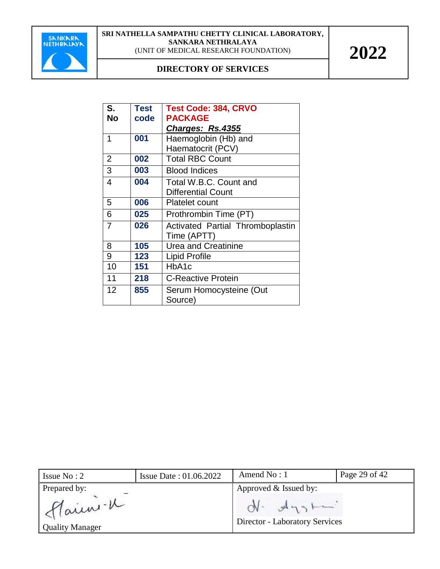

| S.             | Test | <b>Test Code: 384, CRVO</b>      |  |  |
|----------------|------|----------------------------------|--|--|
| <b>No</b>      | code | <b>PACKAGE</b>                   |  |  |
|                |      | Charges: Rs.4355                 |  |  |
| 1              | 001  | Haemoglobin (Hb) and             |  |  |
|                |      | Haematocrit (PCV)                |  |  |
| $\overline{2}$ | 002  | <b>Total RBC Count</b>           |  |  |
| 3              | 003  | <b>Blood Indices</b>             |  |  |
| 4              | 004  | Total W.B.C. Count and           |  |  |
|                |      | <b>Differential Count</b>        |  |  |
| 5              | 006  | <b>Platelet count</b>            |  |  |
| 6              | 025  | Prothrombin Time (PT)            |  |  |
| $\overline{7}$ | 026  | Activated Partial Thromboplastin |  |  |
|                |      | Time (APTT)                      |  |  |
| 8              | 105  | <b>Urea and Creatinine</b>       |  |  |
| 9              | 123  | Lipid Profile                    |  |  |
| 10             | 151  | HbA1c                            |  |  |
| 11             | 218  | <b>C-Reactive Protein</b>        |  |  |
| 12             | 855  | Serum Homocysteine (Out          |  |  |
|                |      | Source)                          |  |  |

| Issue $No: 2$                      | <b>Issue Date: 01.06.2022</b> | Amend $No: 1$                                           | Page 29 of 42 |  |
|------------------------------------|-------------------------------|---------------------------------------------------------|---------------|--|
| Prepared by:                       |                               | Approved & Issued by:                                   |               |  |
| Flain -K<br><b>Quality Manager</b> |                               | $ON.$ $A_{13}$<br><b>Director - Laboratory Services</b> |               |  |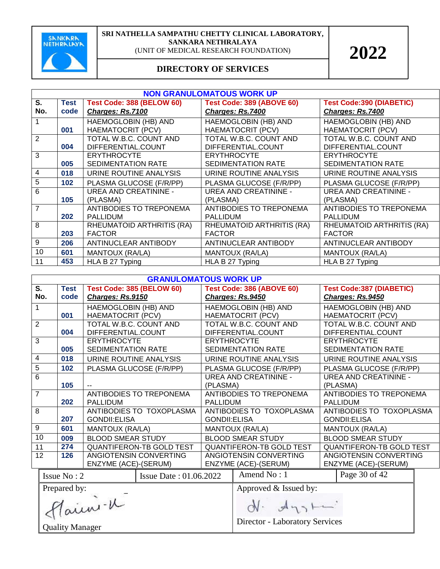

| <b>NON GRANULOMATOUS WORK UP</b> |             |                                  |                                  |                                 |  |  |  |
|----------------------------------|-------------|----------------------------------|----------------------------------|---------------------------------|--|--|--|
| S.                               | <b>Test</b> | <b>Test Code: 388 (BELOW 60)</b> | <b>Test Code: 389 (ABOVE 60)</b> | <b>Test Code:390 (DIABETIC)</b> |  |  |  |
| No.                              | code        | Charges: Rs.7100                 | Charges: Rs.7400                 | Charges: Rs.7400                |  |  |  |
|                                  |             | HAEMOGLOBIN (HB) AND             | HAEMOGLOBIN (HB) AND             | HAEMOGLOBIN (HB) AND            |  |  |  |
|                                  | 001         | <b>HAEMATOCRIT (PCV)</b>         | <b>HAEMATOCRIT (PCV)</b>         | <b>HAEMATOCRIT (PCV)</b>        |  |  |  |
| $\overline{2}$                   |             | TOTAL W.B.C. COUNT AND           | TOTAL W.B.C. COUNT AND           | TOTAL W.B.C. COUNT AND          |  |  |  |
|                                  | 004         | DIFFERENTIAL.COUNT               | DIFFERENTIAL.COUNT               | DIFFERENTIAL.COUNT              |  |  |  |
| 3                                |             | <b>ERYTHROCYTE</b>               | <b>ERYTHROCYTE</b>               | <b>ERYTHROCYTE</b>              |  |  |  |
|                                  | 005         | SEDIMENTATION RATE               | <b>SEDIMENTATION RATE</b>        | <b>SEDIMENTATION RATE</b>       |  |  |  |
| 4                                | 018         | URINE ROUTINE ANALYSIS           | URINE ROUTINE ANALYSIS           | URINE ROUTINE ANALYSIS          |  |  |  |
| 5                                | 102         | PLASMA GLUCOSE (F/R/PP)          | PLASMA GLUCOSE (F/R/PP)          | PLASMA GLUCOSE (F/R/PP)         |  |  |  |
| 6                                |             | <b>UREA AND CREATININE -</b>     | <b>UREA AND CREATININE -</b>     | <b>UREA AND CREATININE -</b>    |  |  |  |
|                                  | 105         | (PLASMA)                         | (PLASMA)                         | (PLASMA)                        |  |  |  |
| $\overline{7}$                   |             | ANTIBODIES TO TREPONEMA          | ANTIBODIES TO TREPONEMA          | ANTIBODIES TO TREPONEMA         |  |  |  |
|                                  | 202         | <b>PALLIDUM</b>                  | <b>PALLIDUM</b>                  | <b>PALLIDUM</b>                 |  |  |  |
| 8                                |             | RHEUMATOID ARTHRITIS (RA)        | RHEUMATOID ARTHRITIS (RA)        | RHEUMATOID ARTHRITIS (RA)       |  |  |  |
|                                  | 203         | <b>FACTOR</b>                    | <b>FACTOR</b>                    | <b>FACTOR</b>                   |  |  |  |
| 9                                | 206         | ANTINUCLEAR ANTIBODY             | ANTINUCLEAR ANTIBODY             | ANTINUCLEAR ANTIBODY            |  |  |  |
| 10                               | 601         | MANTOUX (RA/LA)                  | MANTOUX (RA/LA)                  | MANTOUX (RA/LA)                 |  |  |  |
| 11                               | 453         | HLA B 27 Typing                  | HLA B 27 Typing                  | HLA B 27 Typing                 |  |  |  |

|                                              | <b>GRANULOMATOUS WORK UP</b> |                                  |                                 |                              |                                       |  |                                 |  |
|----------------------------------------------|------------------------------|----------------------------------|---------------------------------|------------------------------|---------------------------------------|--|---------------------------------|--|
| $\overline{\mathsf{s}}$ .                    | <b>Test</b>                  | <b>Test Code: 385 (BELOW 60)</b> |                                 |                              | <b>Test Code: 386 (ABOVE 60)</b>      |  | <b>Test Code:387 (DIABETIC)</b> |  |
| No.                                          | code                         | Charges: Rs.9150                 |                                 |                              | Charges: Rs.9450                      |  | Charges: Rs.9450                |  |
| $\mathbf 1$                                  |                              | HAEMOGLOBIN (HB) AND             |                                 |                              | HAEMOGLOBIN (HB) AND                  |  | HAEMOGLOBIN (HB) AND            |  |
|                                              | 001                          | <b>HAEMATOCRIT (PCV)</b>         |                                 |                              | <b>HAEMATOCRIT (PCV)</b>              |  | <b>HAEMATOCRIT (PCV)</b>        |  |
| $\overline{2}$                               |                              | TOTAL W.B.C. COUNT AND           |                                 |                              | TOTAL W.B.C. COUNT AND                |  | TOTAL W.B.C. COUNT AND          |  |
|                                              | 004                          | DIFFERENTIAL.COUNT               |                                 |                              | DIFFERENTIAL.COUNT                    |  | DIFFERENTIAL.COUNT              |  |
| 3                                            |                              | <b>ERYTHROCYTE</b>               |                                 |                              | <b>ERYTHROCYTE</b>                    |  | <b>ERYTHROCYTE</b>              |  |
|                                              | 005                          | <b>SEDIMENTATION RATE</b>        |                                 |                              | <b>SEDIMENTATION RATE</b>             |  | <b>SEDIMENTATION RATE</b>       |  |
| 4                                            | 018                          | URINE ROUTINE ANALYSIS           |                                 |                              | URINE ROUTINE ANALYSIS                |  | URINE ROUTINE ANALYSIS          |  |
| $\overline{5}$                               | 102                          | PLASMA GLUCOSE (F/R/PP)          |                                 |                              | PLASMA GLUCOSE (F/R/PP)               |  | PLASMA GLUCOSE (F/R/PP)         |  |
| $\overline{6}$                               |                              |                                  |                                 |                              | <b>UREA AND CREATININE -</b>          |  | <b>UREA AND CREATININE -</b>    |  |
|                                              | 105                          |                                  |                                 | (PLASMA)                     |                                       |  | (PLASMA)                        |  |
| $\overline{7}$                               |                              |                                  | ANTIBODIES TO TREPONEMA         |                              | <b>ANTIBODIES TO TREPONEMA</b>        |  | <b>ANTIBODIES TO TREPONEMA</b>  |  |
|                                              | 202                          | <b>PALLIDUM</b>                  |                                 |                              | <b>PALLIDUM</b>                       |  | <b>PALLIDUM</b>                 |  |
| $\overline{8}$                               |                              |                                  | ANTIBODIES TO TOXOPLASMA        | ANTIBODIES TO TOXOPLASMA     |                                       |  | ANTIBODIES TO TOXOPLASMA        |  |
|                                              | 207                          | <b>GONDII:ELISA</b>              |                                 | <b>GONDII:ELISA</b>          |                                       |  | <b>GONDII:ELISA</b>             |  |
| 9                                            | 601                          | MANTOUX (RA/LA)                  |                                 |                              | MANTOUX (RA/LA)                       |  | MANTOUX (RA/LA)                 |  |
| 10                                           | 009                          | <b>BLOOD SMEAR STUDY</b>         |                                 | <b>BLOOD SMEAR STUDY</b>     |                                       |  | <b>BLOOD SMEAR STUDY</b>        |  |
| 11                                           | 274                          |                                  | <b>QUANTIFERON-TB GOLD TEST</b> |                              | <b>QUANTIFERON-TB GOLD TEST</b>       |  | <b>QUANTIFERON-TB GOLD TEST</b> |  |
| $\overline{12}$                              | 126                          |                                  | ANGIOTENSIN CONVERTING          |                              | ANGIOTENSIN CONVERTING                |  | ANGIOTENSIN CONVERTING          |  |
|                                              |                              | ENZYME (ACE)-(SERUM)             |                                 | ENZYME (ACE)-(SERUM)         |                                       |  | ENZYME (ACE)-(SERUM)            |  |
| Issue No: 2<br><b>Issue Date: 01.06.2022</b> |                              |                                  | Amend No: 1                     |                              | Page 30 of 42                         |  |                                 |  |
| Prepared by:                                 |                              |                                  |                                 | Approved & Issued by:        |                                       |  |                                 |  |
| Flaini-K                                     |                              |                                  |                                 | $\mathcal{A}_{\gamma\gamma}$ |                                       |  |                                 |  |
| <b>Quality Manager</b>                       |                              |                                  |                                 |                              | <b>Director - Laboratory Services</b> |  |                                 |  |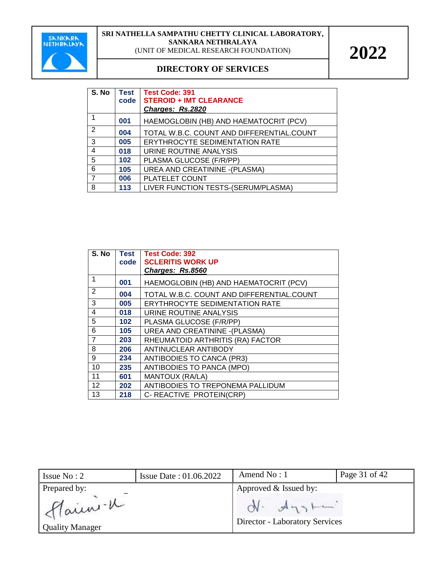

| S. No          | Test<br>code | <b>Test Code: 391</b><br><b>STEROID + IMT CLEARANCE</b><br>Charges: Rs.2820 |
|----------------|--------------|-----------------------------------------------------------------------------|
|                | 001          | HAEMOGLOBIN (HB) AND HAEMATOCRIT (PCV)                                      |
| 2              | 004          | TOTAL W.B.C. COUNT AND DIFFERENTIAL.COUNT                                   |
| 3              | 005          | <b>ERYTHROCYTE SEDIMENTATION RATE</b>                                       |
| $\overline{4}$ | 018          | URINE ROUTINE ANALYSIS                                                      |
| 5              | 102          | PLASMA GLUCOSE (F/R/PP)                                                     |
| 6              | 105          | <b>UREA AND CREATININE - (PLASMA)</b>                                       |
| $\overline{7}$ | 006          | PLATELET COUNT                                                              |
| 8              | 113          | LIVER FUNCTION TESTS-(SERUM/PLASMA)                                         |

| S. No          | <b>Test</b><br>code | <b>Test Code: 392</b><br><b>SCLERITIS WORK UP</b> |
|----------------|---------------------|---------------------------------------------------|
|                |                     | Charges: Rs.8560                                  |
| 1              | 001                 | HAEMOGLOBIN (HB) AND HAEMATOCRIT (PCV)            |
| $\overline{2}$ | 004                 | TOTAL W.B.C. COUNT AND DIFFERENTIAL.COUNT         |
| 3              | 005                 | <b>ERYTHROCYTE SEDIMENTATION RATE</b>             |
| 4              | 018                 | URINE ROUTINE ANALYSIS                            |
| 5              | 102                 | PLASMA GLUCOSE (F/R/PP)                           |
| 6              | 105                 | <b>UREA AND CREATININE - (PLASMA)</b>             |
| $\overline{7}$ | 203                 | RHEUMATOID ARTHRITIS (RA) FACTOR                  |
| 8              | 206                 | ANTINUCLEAR ANTIBODY                              |
| 9              | 234                 | <b>ANTIBODIES TO CANCA (PR3)</b>                  |
| 10             | 235                 | ANTIBODIES TO PANCA (MPO)                         |
| 11             | 601                 | MANTOUX (RA/LA)                                   |
| 12             | 202                 | ANTIBODIES TO TREPONEMA PALLIDUM                  |
| 13             | 218                 | C- REACTIVE PROTEIN(CRP)                          |

| Issue $No: 2$                     | <b>Issue Date: 01.06.2022</b> | Amend $No: 1$                                    | Page 31 of 42 |  |
|-----------------------------------|-------------------------------|--------------------------------------------------|---------------|--|
| Prepared by:                      |                               | Approved & Issued by:                            |               |  |
| Main -u<br><b>Quality Manager</b> |                               | $ON.$ $A_{13}$<br>Director - Laboratory Services |               |  |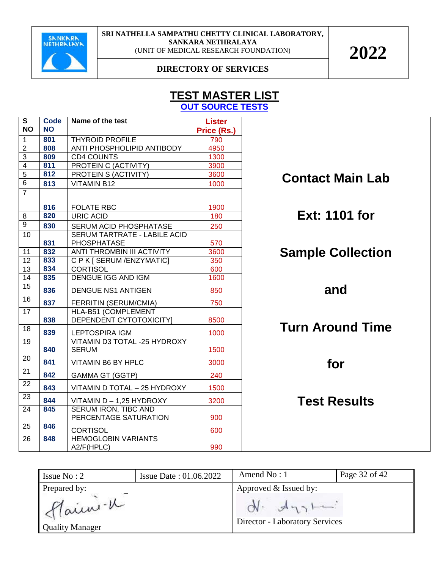

#### **DIRECTORY OF SERVICES**

#### **TEST MASTER LIST OUT SOURCE TESTS**

| S               | <b>Code</b> | Name of the test                              | <b>Lister</b> |
|-----------------|-------------|-----------------------------------------------|---------------|
| <b>NO</b>       | <b>NO</b>   |                                               | Price (Rs.)   |
| 1               | 801         | <b>THYROID PROFILE</b>                        | 790           |
| $\overline{2}$  | 808         | ANTI PHOSPHOLIPID ANTIBODY                    | 4950          |
| 3               | 809         | <b>CD4 COUNTS</b>                             | 1300          |
| $\overline{4}$  | 811         | <b>PROTEIN C (ACTIVITY)</b>                   | 3900          |
| 5               | 812         | PROTEIN S (ACTIVITY)                          | 3600          |
| 6               | 813         | <b>VITAMIN B12</b>                            | 1000          |
| $\overline{7}$  |             |                                               |               |
|                 | 816         | <b>FOLATE RBC</b>                             | 1900          |
| 8               | 820         | <b>URIC ACID</b>                              | 180           |
| $\overline{9}$  | 830         | SERUM ACID PHOSPHATASE                        | 250           |
| $\overline{10}$ |             | <b>SERUM TARTRATE - LABILE ACID</b>           |               |
|                 | 831         | <b>PHOSPHATASE</b>                            | 570           |
| 11              | 832         | ANTI THROMBIN III ACTIVITY                    | 3600          |
| 12              | 833         | C P K [ SERUM / ENZYMATIC]                    | 350           |
| 13              | 834         | <b>CORTISOL</b>                               | 600           |
| 14              | 835         | DENGUE IGG AND IGM                            | 1600          |
| $\overline{15}$ | 836         | <b>DENGUE NS1 ANTIGEN</b>                     | 850           |
| 16              | 837         | FERRITIN (SERUM/CMIA)                         | 750           |
| $\overline{17}$ |             | HLA-B51 (COMPLEMENT                           |               |
|                 | 838         | DEPENDENT CYTOTOXICITY]                       | 8500          |
| 18              | 839         | LEPTOSPIRA IGM                                | 1000          |
| 19              |             | VITAMIN D3 TOTAL -25 HYDROXY                  |               |
|                 | 840         | <b>SERUM</b>                                  | 1500          |
| 20              | 841         | VITAMIN B6 BY HPLC                            | 3000          |
| 21              | 842         | <b>GAMMA GT (GGTP)</b>                        | 240           |
| 22              | 843         | VITAMIN D TOTAL - 25 HYDROXY                  | 1500          |
| 23              | 844         | VITAMIN D - 1,25 HYDROXY                      | 3200          |
| 24              | 845         | SERUM IRON, TIBC AND<br>PERCENTAGE SATURATION | 900           |
| 25              | 846         |                                               |               |
|                 |             | <b>CORTISOL</b>                               | 600           |
| 26              | 848         | <b>HEMOGLOBIN VARIANTS</b><br>A2/F(HPLC)      | 990           |

**Contact Main Lab** 

**Ext: 1101 for**

## **Sample Collection**

**and** 

## **Turn Around Time**

**for** 

**Test Results**

| Issue $No: 2$                      | <b>Issue Date: 01.06.2022</b> | Amend $No:1$                                      | Page 32 of 42 |
|------------------------------------|-------------------------------|---------------------------------------------------|---------------|
| Prepared by:                       |                               | Approved & Issued by:                             |               |
| Main - K<br><b>Quality Manager</b> |                               | $A_{13}$<br><b>Director - Laboratory Services</b> |               |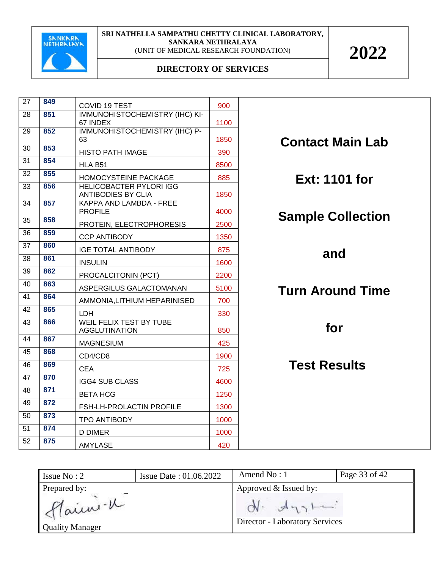

| 27              | 849 | <b>COVID 19 TEST</b>                                   | 900  |                          |
|-----------------|-----|--------------------------------------------------------|------|--------------------------|
| 28              | 851 | <b>IMMUNOHISTOCHEMISTRY (IHC) KI-</b><br>67 INDEX      | 1100 |                          |
| 29              | 852 | IMMUNOHISTOCHEMISTRY (IHC) P-<br>63                    | 1850 | <b>Contact Main Lab</b>  |
| 30              | 853 | <b>HISTO PATH IMAGE</b>                                | 390  |                          |
| 31              | 854 | HLA B51                                                | 8500 |                          |
| 32              | 855 | HOMOCYSTEINE PACKAGE                                   | 885  | Ext: 1101 for            |
| 33              | 856 | <b>HELICOBACTER PYLORI IGG</b><br>ANTIBODIES BY CLIA   | 1850 |                          |
| $\overline{34}$ | 857 | KAPPA AND LAMBDA - FREE<br><b>PROFILE</b>              | 4000 | <b>Sample Collection</b> |
| 35              | 858 | PROTEIN, ELECTROPHORESIS                               | 2500 |                          |
| 36              | 859 | <b>CCP ANTIBODY</b>                                    | 1350 |                          |
| 37              | 860 | <b>IGE TOTAL ANTIBODY</b>                              | 875  | and                      |
| 38              | 861 | <b>INSULIN</b>                                         | 1600 |                          |
| 39              | 862 | PROCALCITONIN (PCT)                                    | 2200 |                          |
| 40              | 863 | ASPERGILUS GALACTOMANAN                                | 5100 | <b>Turn Around Time</b>  |
| 41              | 864 | AMMONIA, LITHIUM HEPARINISED                           | 700  |                          |
| 42              | 865 | LDH                                                    | 330  |                          |
| 43              | 866 | <b>WEIL FELIX TEST BY TUBE</b><br><b>AGGLUTINATION</b> | 850  | for                      |
| 44              | 867 | <b>MAGNESIUM</b>                                       | 425  |                          |
| 45              | 868 | CD4/CD8                                                | 1900 |                          |
| 46              | 869 | <b>CEA</b>                                             | 725  | <b>Test Results</b>      |
| 47              | 870 | <b>IGG4 SUB CLASS</b>                                  | 4600 |                          |
| 48              | 871 | <b>BETA HCG</b>                                        | 1250 |                          |
| 49              | 872 | FSH-LH-PROLACTIN PROFILE                               | 1300 |                          |
| 50              | 873 | TPO ANTIBODY                                           | 1000 |                          |
| 51              | 874 | <b>D DIMER</b>                                         | 1000 |                          |
| 52              | 875 | <b>AMYLASE</b>                                         | 420  |                          |

| Issue $No: 2$                      | <b>Issue Date: 01.06.2022</b> | Amend $No:1$                                                | Page 33 of 42 |  |
|------------------------------------|-------------------------------|-------------------------------------------------------------|---------------|--|
| Prepared by:                       |                               | Approved & Issued by:                                       |               |  |
| Main - K<br><b>Quality Manager</b> |                               | $M_{12}$<br>$CN -$<br><b>Director - Laboratory Services</b> |               |  |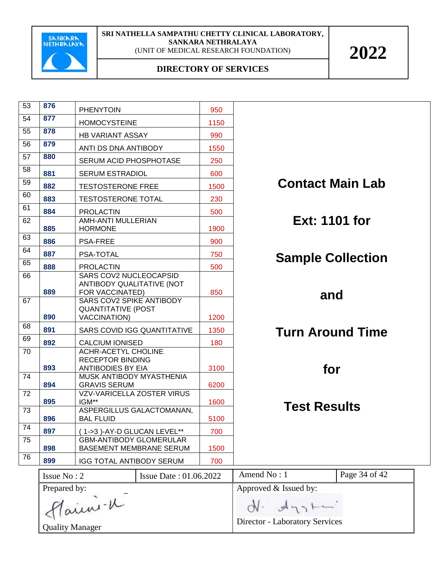

| 53              | 876                                                              | <b>PHENYTOIN</b>                                                             | 950  |                                |               |
|-----------------|------------------------------------------------------------------|------------------------------------------------------------------------------|------|--------------------------------|---------------|
| 54              | 877                                                              | <b>HOMOCYSTEINE</b>                                                          | 1150 |                                |               |
| 55              | 878                                                              | <b>HB VARIANT ASSAY</b>                                                      | 990  |                                |               |
| 56              | 879                                                              | ANTI DS DNA ANTIBODY                                                         | 1550 |                                |               |
| 57              | 880                                                              | SERUM ACID PHOSPHOTASE                                                       | 250  |                                |               |
| 58              | 881                                                              | <b>SERUM ESTRADIOL</b>                                                       | 600  |                                |               |
| 59              | 882                                                              | <b>TESTOSTERONE FREE</b>                                                     | 1500 | <b>Contact Main Lab</b>        |               |
| 60              | 883                                                              | <b>TESTOSTERONE TOTAL</b>                                                    | 230  |                                |               |
| 61              | 884                                                              | <b>PROLACTIN</b>                                                             | 500  |                                |               |
| 62              | 885                                                              | AMH-ANTI MULLERIAN<br><b>HORMONE</b>                                         | 1900 | <b>Ext: 1101 for</b>           |               |
| 63              | 886                                                              | <b>PSA-FREE</b>                                                              | 900  |                                |               |
| 64              | 887                                                              | PSA-TOTAL                                                                    | 750  | <b>Sample Collection</b>       |               |
| 65              | 888                                                              | <b>PROLACTIN</b>                                                             | 500  |                                |               |
| 66              | 889                                                              | SARS COV2 NUCLEOCAPSID<br>ANTIBODY QUALITATIVE (NOT<br>FOR VACCINATED)       | 850  |                                |               |
| 67              | 890                                                              | SARS COV2 SPIKE ANTIBODY<br><b>QUANTITATIVE (POST</b><br><b>VACCINATION)</b> | 1200 | and                            |               |
| 68              | 891                                                              | SARS COVID IGG QUANTITATIVE                                                  | 1350 |                                |               |
| 69              | 892                                                              | <b>CALCIUM IONISED</b>                                                       | 180  | <b>Turn Around Time</b>        |               |
| 70              |                                                                  | <b>ACHR-ACETYL CHOLINE</b>                                                   |      |                                |               |
|                 | 893                                                              | <b>RECEPTOR BINDING</b><br><b>ANTIBODIES BY EIA</b>                          | 3100 | for                            |               |
| 74              | 894                                                              | MUSK ANTIBODY MYASTHENIA<br><b>GRAVIS SERUM</b>                              | 6200 |                                |               |
| $\overline{72}$ | 895                                                              | <b>VZV-VARICELLA ZOSTER VIRUS</b><br>IGM**                                   | 1600 | <b>Test Results</b>            |               |
| $\overline{73}$ | 896                                                              | ASPERGILLUS GALACTOMANAN,<br>BAL FLUID                                       | 5100 |                                |               |
| 74              | 897                                                              | (1->3)-AY-D GLUCAN LEVEL**                                                   | 700  |                                |               |
| 75              | <b>GBM-ANTIBODY GLOMERULAR</b><br>898<br>BASEMENT MEMBRANE SERUM |                                                                              | 1500 |                                |               |
| 76              | 899                                                              | IGG TOTAL ANTIBODY SERUM                                                     | 700  |                                |               |
|                 | Issue No: 2<br>Issue Date: 01.06.2022                            |                                                                              |      | Amend No: 1                    | Page 34 of 42 |
|                 | Prepared by:                                                     |                                                                              |      | Approved & Issued by:          |               |
|                 | Flaini - 1                                                       |                                                                              |      | $\mathcal{A}_{\gamma}$         |               |
|                 | <b>Quality Manager</b>                                           |                                                                              |      | Director - Laboratory Services |               |
|                 |                                                                  |                                                                              |      |                                |               |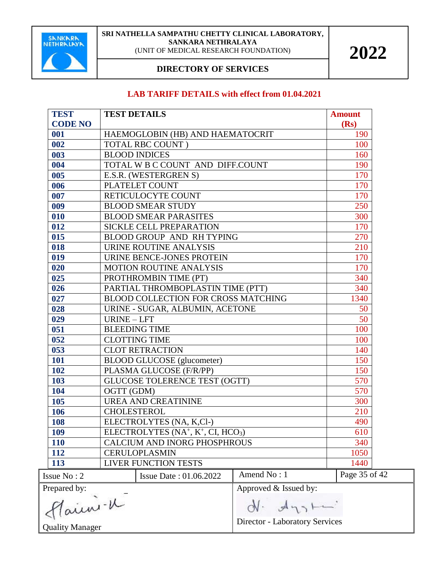

#### **DIRECTORY OF SERVICES**

#### **LAB TARIFF DETAILS with effect from 01.04.2021**

| <b>TEST</b><br><b>CODE NO</b>                                                | <b>TEST DETAILS</b>                  |                       | <b>Amount</b><br>(Rs) |
|------------------------------------------------------------------------------|--------------------------------------|-----------------------|-----------------------|
| 001                                                                          | HAEMOGLOBIN (HB) AND HAEMATOCRIT     |                       | 190                   |
| 002                                                                          | <b>TOTAL RBC COUNT</b> )             | 100                   |                       |
| 003                                                                          | <b>BLOOD INDICES</b>                 |                       | 160                   |
| 004                                                                          | TOTAL W B C COUNT AND DIFF.COUNT     |                       | 190                   |
| 005                                                                          | E.S.R. (WESTERGREN S)                |                       | 170                   |
| 006                                                                          | PLATELET COUNT                       |                       | 170                   |
| 007                                                                          | RETICULOCYTE COUNT                   |                       | 170                   |
| 009                                                                          | <b>BLOOD SMEAR STUDY</b>             |                       | 250                   |
| 010                                                                          | <b>BLOOD SMEAR PARASITES</b>         |                       | 300                   |
| 012                                                                          | SICKLE CELL PREPARATION              |                       | 170                   |
| 015                                                                          | BLOOD GROUP AND RH TYPING            |                       | 270                   |
| 018                                                                          | URINE ROUTINE ANALYSIS               |                       | 210                   |
| 019                                                                          | URINE BENCE-JONES PROTEIN            |                       | 170                   |
| 020                                                                          | <b>MOTION ROUTINE ANALYSIS</b>       |                       | 170                   |
| 025                                                                          | PROTHROMBIN TIME (PT)                |                       | 340                   |
| 026                                                                          | PARTIAL THROMBOPLASTIN TIME (PTT)    |                       | 340                   |
| 027                                                                          | BLOOD COLLECTION FOR CROSS MATCHING  | 1340                  |                       |
| 028                                                                          | URINE - SUGAR, ALBUMIN, ACETONE      |                       | 50                    |
| 029                                                                          | URINE - LFT                          |                       | 50                    |
| 051                                                                          | <b>BLEEDING TIME</b>                 |                       | 100                   |
| 052                                                                          | <b>CLOTTING TIME</b>                 |                       | 100                   |
| 053                                                                          | <b>CLOT RETRACTION</b>               |                       | 140                   |
| <b>101</b>                                                                   | <b>BLOOD GLUCOSE</b> (glucometer)    |                       | 150                   |
| 102                                                                          | PLASMA GLUCOSE (F/R/PP)              |                       | 150                   |
| 103                                                                          | <b>GLUCOSE TOLERENCE TEST (OGTT)</b> |                       | 570                   |
| 104                                                                          | OGTT (GDM)                           |                       | 570                   |
| 105                                                                          | <b>UREA AND CREATININE</b>           |                       | 300                   |
| 106                                                                          | <b>CHOLESTEROL</b>                   |                       | 210                   |
| 108                                                                          | ELECTROLYTES (NA, K,Cl-)             |                       | 490                   |
| 109                                                                          | ELECTROLYTES $(NA^+, K^+, CI, HCO3)$ |                       | 610                   |
| <b>110</b>                                                                   | <b>CALCIUM AND INORG PHOSPHROUS</b>  |                       | 340                   |
| 112                                                                          | <b>CERULOPLASMIN</b>                 |                       | 1050                  |
| 113                                                                          | <b>LIVER FUNCTION TESTS</b>          |                       | 1440                  |
| Issue No: 2                                                                  | Issue Date: 01.06.2022               | Amend No: 1           | Page 35 of 42         |
| Prepared by:                                                                 |                                      | Approved & Issued by: |                       |
| Flaini - K<br>$\mathcal{A}_{\gamma\gamma}$<br>Director - Laboratory Services |                                      |                       |                       |
| <b>Quality Manager</b>                                                       |                                      |                       |                       |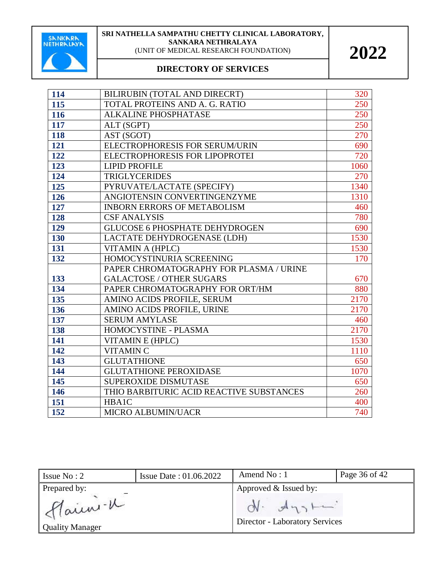

| 114 | BILIRUBIN (TOTAL AND DIRECRT)            | 320  |
|-----|------------------------------------------|------|
| 115 | TOTAL PROTEINS AND A. G. RATIO           | 250  |
| 116 | <b>ALKALINE PHOSPHATASE</b>              | 250  |
| 117 | ALT (SGPT)                               | 250  |
| 118 | AST (SGOT)                               | 270  |
| 121 | ELECTROPHORESIS FOR SERUM/URIN           | 690  |
| 122 | ELECTROPHORESIS FOR LIPOPROTEI           | 720  |
| 123 | <b>LIPID PROFILE</b>                     | 1060 |
| 124 | <b>TRIGLYCERIDES</b>                     | 270  |
| 125 | PYRUVATE/LACTATE (SPECIFY)               | 1340 |
| 126 | ANGIOTENSIN CONVERTINGENZYME             | 1310 |
| 127 | <b>INBORN ERRORS OF METABOLISM</b>       | 460  |
| 128 | <b>CSF ANALYSIS</b>                      | 780  |
| 129 | <b>GLUCOSE 6 PHOSPHATE DEHYDROGEN</b>    | 690  |
| 130 | LACTATE DEHYDROGENASE (LDH)              | 1530 |
| 131 | VITAMIN A (HPLC)                         | 1530 |
| 132 | HOMOCYSTINURIA SCREENING                 | 170  |
|     | PAPER CHROMATOGRAPHY FOR PLASMA / URINE  |      |
| 133 | <b>GALACTOSE / OTHER SUGARS</b>          | 670  |
| 134 | PAPER CHROMATOGRAPHY FOR ORT/HM          | 880  |
| 135 | AMINO ACIDS PROFILE, SERUM               | 2170 |
| 136 | AMINO ACIDS PROFILE, URINE               | 2170 |
| 137 | <b>SERUM AMYLASE</b>                     | 460  |
| 138 | HOMOCYSTINE - PLASMA                     | 2170 |
| 141 | VITAMIN E (HPLC)                         | 1530 |
| 142 | <b>VITAMIN C</b>                         | 1110 |
| 143 | <b>GLUTATHIONE</b>                       | 650  |
| 144 | <b>GLUTATHIONE PEROXIDASE</b>            | 1070 |
| 145 | SUPEROXIDE DISMUTASE                     | 650  |
| 146 | THIO BARBITURIC ACID REACTIVE SUBSTANCES | 260  |
| 151 | <b>HBA1C</b>                             | 400  |
| 152 | <b>MICRO ALBUMIN/UACR</b>                | 740  |

| Issue $No: 2$                                     | Issue Date: 01.06.2022 | Amend $No: 1$                                                                    | Page 36 of 42 |
|---------------------------------------------------|------------------------|----------------------------------------------------------------------------------|---------------|
| Prepared by:<br>Main -u<br><b>Quality Manager</b> |                        | Approved & Issued by:<br>$ON.$ $A_{13}$<br><b>Director - Laboratory Services</b> |               |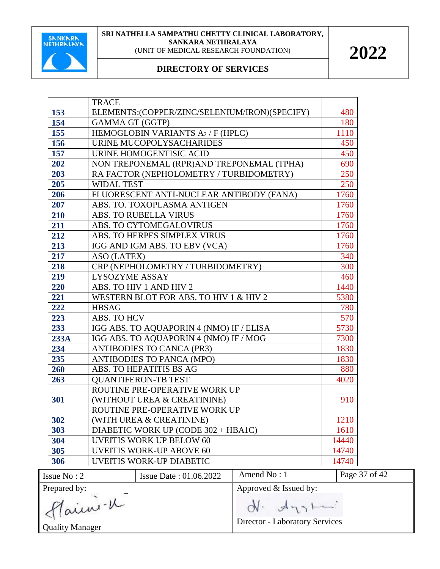

#### **DIRECTORY OF SERVICES**

|              | <b>TRACE</b>                                  |                       |               |
|--------------|-----------------------------------------------|-----------------------|---------------|
| 153          | ELEMENTS:(COPPER/ZINC/SELENIUM/IRON)(SPECIFY) |                       | 480           |
| 154          | <b>GAMMA GT (GGTP)</b>                        |                       | 180           |
| 155          | HEMOGLOBIN VARIANTS A2 / F (HPLC)             |                       | 1110          |
| 156          | URINE MUCOPOLYSACHARIDES                      |                       | 450           |
| 157          | URINE HOMOGENTISIC ACID                       |                       | 450           |
| 202          | NON TREPONEMAL (RPR)AND TREPONEMAL (TPHA)     |                       | 690           |
| 203          | RA FACTOR (NEPHOLOMETRY / TURBIDOMETRY)       |                       | 250           |
| 205          | <b>WIDAL TEST</b>                             |                       | 250           |
| 206          | FLUORESCENT ANTI-NUCLEAR ANTIBODY (FANA)      |                       | 1760          |
| 207          | ABS. TO. TOXOPLASMA ANTIGEN                   |                       | 1760          |
| 210          | ABS. TO RUBELLA VIRUS                         |                       | 1760          |
| 211          | ABS. TO CYTOMEGALOVIRUS                       |                       | 1760          |
| 212          | ABS. TO HERPES SIMPLEX VIRUS                  |                       | 1760          |
| 213          | IGG AND IGM ABS. TO EBV (VCA)                 |                       | 1760          |
| 217          | ASO (LATEX)                                   |                       | 340           |
| 218          | CRP (NEPHOLOMETRY / TURBIDOMETRY)             |                       | 300           |
| 219          | <b>LYSOZYME ASSAY</b>                         |                       | 460           |
| 220          | ABS. TO HIV 1 AND HIV 2                       |                       | 1440          |
| 221          | WESTERN BLOT FOR ABS. TO HIV 1 & HIV 2        |                       | 5380          |
| 222          | <b>HBSAG</b>                                  |                       | 780           |
| 223          | ABS. TO HCV                                   |                       | 570           |
| 233          | IGG ABS. TO AQUAPORIN 4 (NMO) IF / ELISA      |                       | 5730          |
| 233A         | IGG ABS. TO AQUAPORIN 4 (NMO) IF / MOG        |                       | 7300          |
| 234          | <b>ANTIBODIES TO CANCA (PR3)</b>              |                       | 1830          |
| 235          | ANTIBODIES TO PANCA (MPO)                     |                       | 1830          |
| 260          | ABS. TO HEPATITIS BS AG                       |                       | 880           |
| 263          | <b>QUANTIFERON-TB TEST</b>                    |                       | 4020          |
|              | ROUTINE PRE-OPERATIVE WORK UP                 |                       |               |
| 301          | (WITHOUT UREA & CREATININE)                   |                       | 910           |
|              | ROUTINE PRE-OPERATIVE WORK UP                 |                       |               |
| 302          | (WITH UREA & CREATININE)                      |                       | 1210          |
| 303          | DIABETIC WORK UP (CODE 302 + HBA1C)           |                       | 1610          |
| 304          | <b>UVEITIS WORK UP BELOW 60</b>               |                       | 14440         |
| 305          | <b>UVEITIS WORK-UP ABOVE 60</b>               |                       | 14740         |
| 306          | <b>UVEITIS WORK-UP DIABETIC</b>               |                       | 14740         |
| Issue No: 2  | Issue Date: 01.06.2022                        | Amend No: 1           | Page 37 of 42 |
| Prepared by: |                                               | Approved & Issued by: |               |
| Flaini - W   |                                               |                       |               |
|              |                                               | $d\theta$ $d\eta$     |               |

Haun Quality Manager

Director - Laboratory Services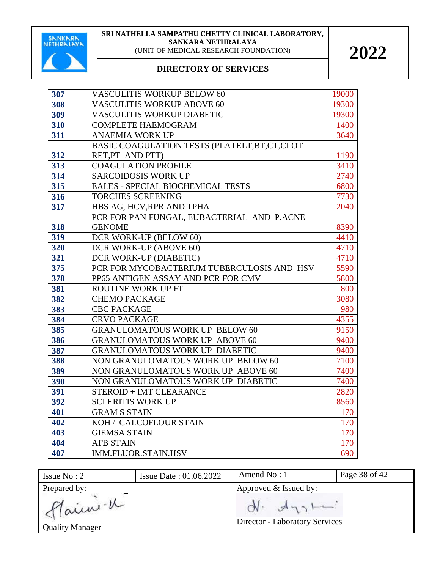

| 307 | <b>VASCULITIS WORKUP BELOW 60</b>              | 19000 |
|-----|------------------------------------------------|-------|
| 308 | <b>VASCULITIS WORKUP ABOVE 60</b>              | 19300 |
| 309 | VASCULITIS WORKUP DIABETIC                     | 19300 |
| 310 | <b>COMPLETE HAEMOGRAM</b>                      | 1400  |
| 311 | <b>ANAEMIA WORK UP</b>                         | 3640  |
|     | BASIC COAGULATION TESTS (PLATELT, BT, CT, CLOT |       |
| 312 | RET, PT AND PTT)                               | 1190  |
| 313 | <b>COAGULATION PROFILE</b>                     | 3410  |
| 314 | <b>SARCOIDOSIS WORK UP</b>                     | 2740  |
| 315 | <b>EALES - SPECIAL BIOCHEMICAL TESTS</b>       | 6800  |
| 316 | <b>TORCHES SCREENING</b>                       | 7730  |
| 317 | HBS AG, HCV, RPR AND TPHA                      | 2040  |
|     | PCR FOR PAN FUNGAL, EUBACTERIAL AND P.ACNE     |       |
| 318 | <b>GENOME</b>                                  | 8390  |
| 319 | DCR WORK-UP (BELOW 60)                         | 4410  |
| 320 | DCR WORK-UP (ABOVE 60)                         | 4710  |
| 321 | DCR WORK-UP (DIABETIC)                         | 4710  |
| 375 | PCR FOR MYCOBACTERIUM TUBERCULOSIS AND HSV     | 5590  |
| 378 | PP65 ANTIGEN ASSAY AND PCR FOR CMV             | 5800  |
| 381 | ROUTINE WORK UP FT                             | 800   |
| 382 | <b>CHEMO PACKAGE</b>                           | 3080  |
| 383 | <b>CBC PACKAGE</b>                             | 980   |
| 384 | <b>CRVO PACKAGE</b>                            | 4355  |
| 385 | <b>GRANULOMATOUS WORK UP BELOW 60</b>          | 9150  |
| 386 | <b>GRANULOMATOUS WORK UP ABOVE 60</b>          | 9400  |
| 387 | GRANULOMATOUS WORK UP DIABETIC                 | 9400  |
| 388 | NON GRANULOMATOUS WORK UP BELOW 60             | 7100  |
| 389 | NON GRANULOMATOUS WORK UP ABOVE 60             | 7400  |
| 390 | NON GRANULOMATOUS WORK UP DIABETIC             | 7400  |
| 391 | STEROID + IMT CLEARANCE                        | 2820  |
| 392 | <b>SCLERITIS WORK UP</b>                       | 8560  |
| 401 | <b>GRAM S STAIN</b>                            | 170   |
| 402 | KOH / CALCOFLOUR STAIN                         | 170   |
| 403 | <b>GIEMSA STAIN</b>                            | 170   |
| 404 | <b>AFB STAIN</b>                               | 170   |
| 407 | <b>IMM.FLUOR.STAIN.HSV</b>                     | 690   |

| Issue $No: 2$          | <b>Issue Date: 01.06.2022</b> | Amend $No:1$                                            | Page 38 of 42 |
|------------------------|-------------------------------|---------------------------------------------------------|---------------|
| Prepared by:           |                               | Approved & Issued by:                                   |               |
| flainn-K               |                               | $ON.$ $A_{13}$<br><b>Director - Laboratory Services</b> |               |
| <b>Quality Manager</b> |                               |                                                         |               |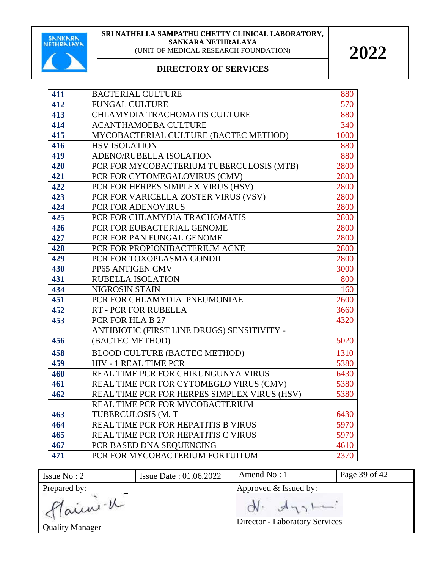

| 411 | <b>BACTERIAL CULTURE</b>                     | 880  |
|-----|----------------------------------------------|------|
| 412 | <b>FUNGAL CULTURE</b>                        | 570  |
| 413 | CHLAMYDIA TRACHOMATIS CULTURE                | 880  |
| 414 | <b>ACANTHAMOEBA CULTURE</b>                  | 340  |
| 415 | MYCOBACTERIAL CULTURE (BACTEC METHOD)        | 1000 |
| 416 | <b>HSV ISOLATION</b>                         | 880  |
| 419 | ADENO/RUBELLA ISOLATION                      | 880  |
| 420 | PCR FOR MYCOBACTERIUM TUBERCULOSIS (MTB)     | 2800 |
| 421 | PCR FOR CYTOMEGALOVIRUS (CMV)                | 2800 |
| 422 | PCR FOR HERPES SIMPLEX VIRUS (HSV)           | 2800 |
| 423 | PCR FOR VARICELLA ZOSTER VIRUS (VSV)         | 2800 |
| 424 | PCR FOR ADENOVIRUS                           | 2800 |
| 425 | PCR FOR CHLAMYDIA TRACHOMATIS                | 2800 |
| 426 | PCR FOR EUBACTERIAL GENOME                   | 2800 |
| 427 | PCR FOR PAN FUNGAL GENOME                    | 2800 |
| 428 | PCR FOR PROPIONIBACTERIUM ACNE               | 2800 |
| 429 | PCR FOR TOXOPLASMA GONDII                    | 2800 |
| 430 | PP65 ANTIGEN CMV                             | 3000 |
| 431 | RUBELLA ISOLATION                            | 800  |
| 434 | NIGROSIN STAIN                               | 160  |
| 451 | PCR FOR CHLAMYDIA PNEUMONIAE                 | 2600 |
| 452 | RT - PCR FOR RUBELLA                         | 3660 |
| 453 | PCR FOR HLA B 27                             | 4320 |
|     | ANTIBIOTIC (FIRST LINE DRUGS) SENSITIVITY -  |      |
| 456 | (BACTEC METHOD)                              | 5020 |
| 458 | BLOOD CULTURE (BACTEC METHOD)                | 1310 |
| 459 | <b>HIV - 1 REAL TIME PCR</b>                 | 5380 |
| 460 | REAL TIME PCR FOR CHIKUNGUNYA VIRUS          | 6430 |
| 461 | REAL TIME PCR FOR CYTOMEGLO VIRUS (CMV)      | 5380 |
| 462 | REAL TIME PCR FOR HERPES SIMPLEX VIRUS (HSV) | 5380 |
|     | REAL TIME PCR FOR MYCOBACTERIUM              |      |
| 463 | TUBERCULOSIS (M. T                           | 6430 |
| 464 | REAL TIME PCR FOR HEPATITIS B VIRUS          | 5970 |
| 465 | REAL TIME PCR FOR HEPATITIS C VIRUS          | 5970 |
| 467 | PCR BASED DNA SEQUENCING                     | 4610 |
| 471 | PCR FOR MYCOBACTERIUM FORTUITUM              | 2370 |

| Issue $No: 2$           | <b>Issue Date: 01.06.2022</b> | Amend No: 1                           | Page 39 of 42 |
|-------------------------|-------------------------------|---------------------------------------|---------------|
| Prepared by:<br>Marin-K |                               | Approved & Issued by:<br>$N - d_{22}$ |               |
| <b>Quality Manager</b>  |                               | Director - Laboratory Services        |               |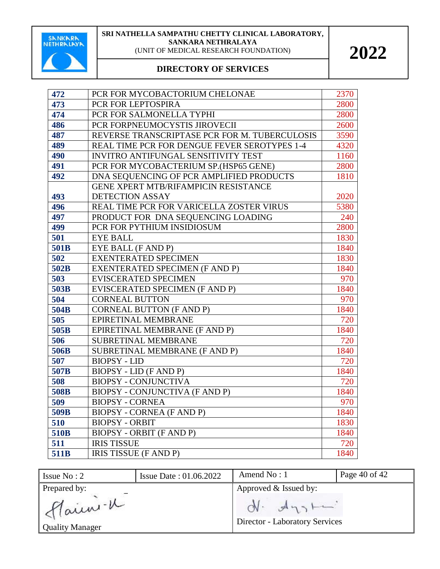

| 472  | PCR FOR MYCOBACTORIUM CHELONAE                | 2370 |
|------|-----------------------------------------------|------|
| 473  | PCR FOR LEPTOSPIRA                            | 2800 |
| 474  | PCR FOR SALMONELLA TYPHI                      | 2800 |
| 486  | PCR FORPNEUMOCYSTIS JIROVECII                 | 2600 |
| 487  | REVERSE TRANSCRIPTASE PCR FOR M. TUBERCULOSIS | 3590 |
| 489  | REAL TIME PCR FOR DENGUE FEVER SEROTYPES 1-4  | 4320 |
| 490  | <b>INVITRO ANTIFUNGAL SENSITIVITY TEST</b>    | 1160 |
| 491  | PCR FOR MYCOBACTERIUM SP.(HSP65 GENE)         | 2800 |
| 492  | DNA SEQUENCING OF PCR AMPLIFIED PRODUCTS      | 1810 |
|      | GENE XPERT MTB/RIFAMPICIN RESISTANCE          |      |
| 493  | <b>DETECTION ASSAY</b>                        | 2020 |
| 496  | REAL TIME PCR FOR VARICELLA ZOSTER VIRUS      | 5380 |
| 497  | PRODUCT FOR DNA SEQUENCING LOADING            | 240  |
| 499  | PCR FOR PYTHIUM INSIDIOSUM                    | 2800 |
| 501  | <b>EYE BALL</b>                               | 1830 |
| 501B | EYE BALL (F AND P)                            | 1840 |
| 502  | <b>EXENTERATED SPECIMEN</b>                   | 1830 |
| 502B | <b>EXENTERATED SPECIMEN (F AND P)</b>         | 1840 |
| 503  | <b>EVISCERATED SPECIMEN</b>                   | 970  |
| 503B | EVISCERATED SPECIMEN (F AND P)                | 1840 |
| 504  | <b>CORNEAL BUTTON</b>                         | 970  |
| 504B | <b>CORNEAL BUTTON (F AND P)</b>               | 1840 |
| 505  | EPIRETINAL MEMBRANE                           | 720  |
| 505B | EPIRETINAL MEMBRANE (F AND P)                 | 1840 |
| 506  | SUBRETINAL MEMBRANE                           | 720  |
| 506B | SUBRETINAL MEMBRANE (F AND P)                 | 1840 |
| 507  | <b>BIOPSY - LID</b>                           | 720  |
| 507B | <b>BIOPSY - LID (F AND P)</b>                 | 1840 |
| 508  | <b>BIOPSY - CONJUNCTIVA</b>                   | 720  |
| 508B | BIOPSY - CONJUNCTIVA (F AND P)                | 1840 |
| 509  | <b>BIOPSY - CORNEA</b>                        | 970  |
| 509B | <b>BIOPSY - CORNEA (F AND P)</b>              | 1840 |
| 510  | <b>BIOPSY - ORBIT</b>                         | 1830 |
| 510B | <b>BIOPSY - ORBIT (F AND P)</b>               | 1840 |
| 511  | <b>IRIS TISSUE</b>                            | 720  |
| 511B | IRIS TISSUE (F AND P)                         | 1840 |

| Issue $No: 2$                      | <b>Issue Date: 01.06.2022</b> | Amend No: 1                                    | Page 40 of 42 |
|------------------------------------|-------------------------------|------------------------------------------------|---------------|
| Prepared by:                       |                               | Approved & Issued by:                          |               |
| flainn-K<br><b>Quality Manager</b> |                               | $N - A_{13}$<br>Director - Laboratory Services |               |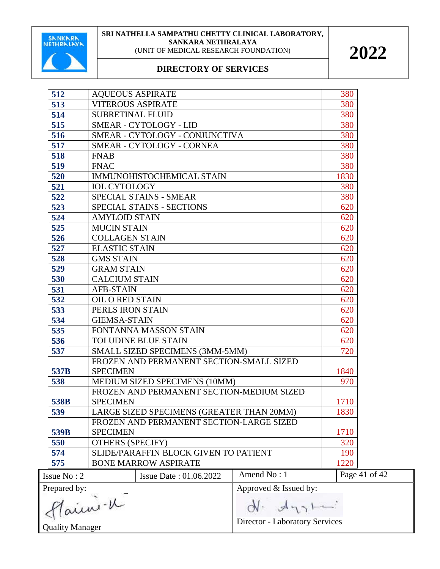

| 512                    | <b>AQUEOUS ASPIRATE</b>               |                                           |                       | 380           |
|------------------------|---------------------------------------|-------------------------------------------|-----------------------|---------------|
| 513                    | <b>VITEROUS ASPIRATE</b>              |                                           |                       | 380           |
| 514                    | <b>SUBRETINAL FLUID</b>               |                                           |                       | 380           |
| 515                    | SMEAR - CYTOLOGY - LID                |                                           |                       | 380           |
| 516                    | SMEAR - CYTOLOGY - CONJUNCTIVA        |                                           |                       | 380           |
| 517                    |                                       | <b>SMEAR - CYTOLOGY - CORNEA</b>          |                       | 380           |
| 518                    | <b>FNAB</b>                           |                                           |                       | 380           |
| 519                    | <b>FNAC</b>                           |                                           |                       | 380           |
| 520                    |                                       | IMMUNOHISTOCHEMICAL STAIN                 |                       | 1830          |
| 521                    | <b>IOL CYTOLOGY</b>                   |                                           |                       | 380           |
| 522                    |                                       | SPECIAL STAINS - SMEAR                    |                       | 380           |
| 523                    |                                       | SPECIAL STAINS - SECTIONS                 |                       | 620           |
| 524                    | <b>AMYLOID STAIN</b>                  |                                           |                       | 620           |
| 525                    | <b>MUCIN STAIN</b>                    |                                           |                       | 620           |
| 526                    | <b>COLLAGEN STAIN</b>                 |                                           |                       | 620           |
| 527                    | <b>ELASTIC STAIN</b>                  |                                           |                       | 620           |
| 528                    | <b>GMS STAIN</b>                      |                                           |                       | 620           |
| 529                    | <b>GRAM STAIN</b>                     |                                           |                       | 620           |
| 530                    | <b>CALCIUM STAIN</b>                  |                                           |                       | 620           |
| 531                    |                                       | <b>AFB-STAIN</b>                          |                       |               |
| 532                    |                                       | <b>OIL O RED STAIN</b>                    |                       |               |
| 533                    | PERLS IRON STAIN                      |                                           |                       | 620           |
| 534                    |                                       | <b>GIEMSA-STAIN</b>                       |                       |               |
| 535                    | FONTANNA MASSON STAIN                 |                                           |                       | 620           |
| 536                    | <b>TOLUDINE BLUE STAIN</b>            |                                           | 620                   |               |
| 537                    |                                       | SMALL SIZED SPECIMENS (3MM-5MM)           |                       | 720           |
|                        |                                       | FROZEN AND PERMANENT SECTION-SMALL SIZED  |                       |               |
| 537B                   | <b>SPECIMEN</b>                       |                                           |                       | 1840          |
| 538                    |                                       | MEDIUM SIZED SPECIMENS (10MM)             |                       | 970           |
|                        |                                       | FROZEN AND PERMANENT SECTION-MEDIUM SIZED |                       |               |
| 538B                   | <b>SPECIMEN</b>                       |                                           |                       | 1710          |
| 539                    |                                       | LARGE SIZED SPECIMENS (GREATER THAN 20MM) |                       | 1830          |
|                        |                                       | FROZEN AND PERMANENT SECTION-LARGE SIZED  |                       |               |
| 539B                   | <b>SPECIMEN</b>                       |                                           |                       | 1710          |
| 550                    | <b>OTHERS (SPECIFY)</b>               |                                           |                       | 320           |
| 574                    | SLIDE/PARAFFIN BLOCK GIVEN TO PATIENT |                                           |                       | 190           |
| 575                    |                                       | <b>BONE MARROW ASPIRATE</b>               |                       | 1220          |
| Issue No: 2            |                                       | <b>Issue Date: 01.06.2022</b>             | Amend No: 1           | Page 41 of 42 |
| Prepared by:           |                                       |                                           | Approved & Issued by: |               |
| Plaini. K              |                                       | $N - A_{121}$                             |                       |               |
|                        |                                       | Director - Laboratory Services            |                       |               |
| <b>Quality Manager</b> |                                       |                                           |                       |               |